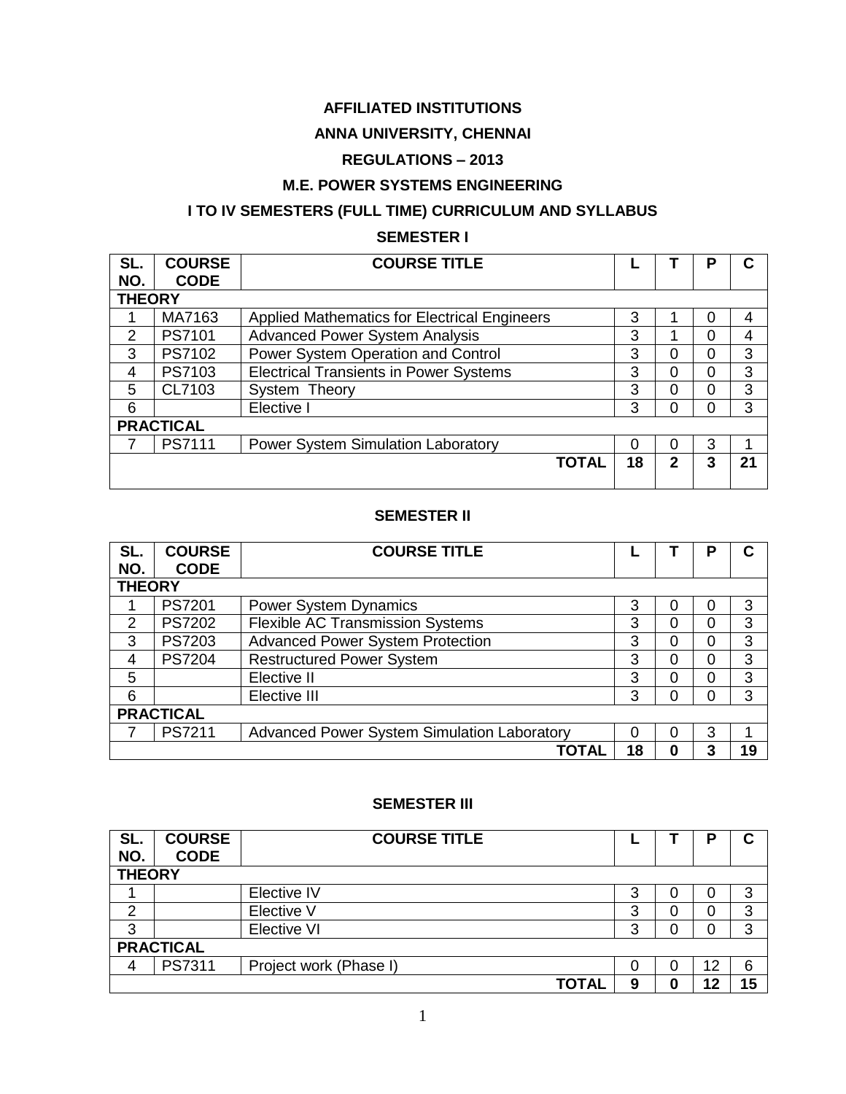### **AFFILIATED INSTITUTIONS**

### **ANNA UNIVERSITY, CHENNAI**

# **REGULATIONS – 2013**

#### **M.E. POWER SYSTEMS ENGINEERING**

# **I TO IV SEMESTERS (FULL TIME) CURRICULUM AND SYLLABUS**

#### **SEMESTER I**

| SL.           | <b>COURSE</b>    | <b>COURSE TITLE</b>                                 |    |   | Р        |    |
|---------------|------------------|-----------------------------------------------------|----|---|----------|----|
| NO.           | <b>CODE</b>      |                                                     |    |   |          |    |
| <b>THEORY</b> |                  |                                                     |    |   |          |    |
|               | MA7163           | <b>Applied Mathematics for Electrical Engineers</b> | 3  |   | 0        | 4  |
| 2             | PS7101           | <b>Advanced Power System Analysis</b>               | 3  |   | 0        |    |
| 3             | PS7102           | Power System Operation and Control                  | 3  | 0 | $\Omega$ | 3  |
| 4             | PS7103           | <b>Electrical Transients in Power Systems</b>       | 3  | 0 | $\Omega$ | 3  |
| 5             | CL7103           | System Theory                                       | 3  | 0 | $\Omega$ | 3  |
| 6             |                  | Elective I                                          | 3  | 0 | $\Omega$ | 3  |
|               | <b>PRACTICAL</b> |                                                     |    |   |          |    |
|               | PS7111           | Power System Simulation Laboratory                  | 0  | 0 | 3        |    |
|               |                  | <b>TOTAL</b>                                        | 18 | 2 | 3        | 21 |
|               |                  |                                                     |    |   |          |    |

#### **SEMESTER II**

| SL.              | <b>COURSE</b> | <b>COURSE TITLE</b>                                |    |   |          |    |
|------------------|---------------|----------------------------------------------------|----|---|----------|----|
| NO.              | <b>CODE</b>   |                                                    |    |   |          |    |
| <b>THEORY</b>    |               |                                                    |    |   |          |    |
|                  | PS7201        | <b>Power System Dynamics</b>                       | 3  | 0 | 0        | 3  |
| 2                | <b>PS7202</b> | <b>Flexible AC Transmission Systems</b>            | 3  | 0 | 0        | 3  |
| 3                | PS7203        | <b>Advanced Power System Protection</b>            | 3  | 0 | $\Omega$ | 3  |
| 4                | <b>PS7204</b> | <b>Restructured Power System</b>                   | 3  | 0 | $\Omega$ | 3  |
| 5                |               | Elective II                                        | 3  | 0 | 0        | 3  |
| 6                |               | Elective III                                       | 3  | 0 | 0        | 3  |
| <b>PRACTICAL</b> |               |                                                    |    |   |          |    |
|                  | PS7211        | <b>Advanced Power System Simulation Laboratory</b> | 0  | 0 | 3        |    |
|                  |               | ΤΟΤΑΙ                                              | 18 | 0 | 3        | 19 |

#### **SEMESTER III**

| SL.           | <b>COURSE</b>    | <b>COURSE TITLE</b>    |   |   |    | С  |
|---------------|------------------|------------------------|---|---|----|----|
| NO.           | <b>CODE</b>      |                        |   |   |    |    |
| <b>THEORY</b> |                  |                        |   |   |    |    |
|               |                  | Elective IV            | 3 | 0 | 0  | 3  |
| ⌒             |                  | Elective V             | 3 | 0 | 0  | 3  |
| 3             |                  | Elective VI            | 3 | 0 | 0  | 3  |
|               | <b>PRACTICAL</b> |                        |   |   |    |    |
| 4             | PS7311           | Project work (Phase I) | 0 | 0 | 12 | 6  |
|               |                  | <b>TOTAL</b>           | 9 | 0 | 12 | 15 |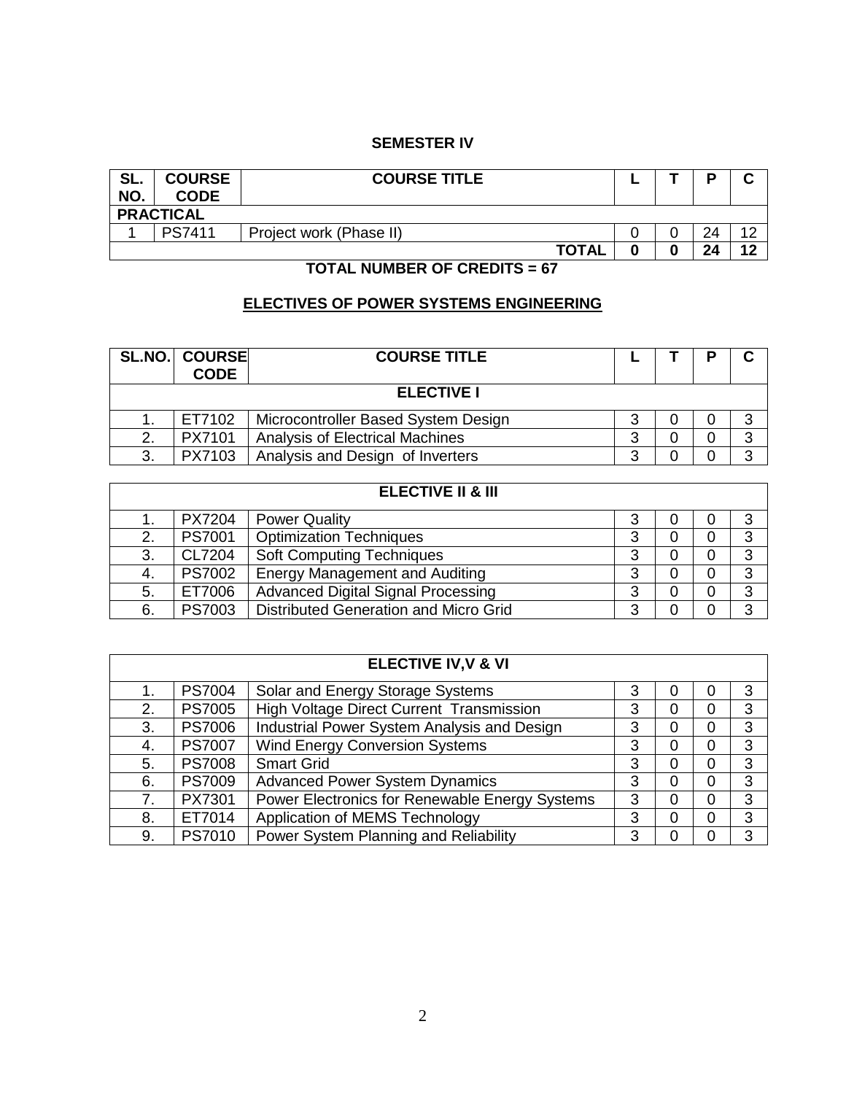### **SEMESTER IV**

| SL.<br>NO. | <b>COURSE</b><br><b>CODE</b> | <b>COURSE TITLE</b>     |  |  | D  | ◠         |  |  |
|------------|------------------------------|-------------------------|--|--|----|-----------|--|--|
|            | <b>PRACTICAL</b>             |                         |  |  |    |           |  |  |
|            | <b>PS7411</b>                | Project work (Phase II) |  |  | 24 | $\Lambda$ |  |  |
|            |                              | <b>TOTAL</b>            |  |  | 24 | 12        |  |  |

### **TOTAL NUMBER OF CREDITS = 67**

# **ELECTIVES OF POWER SYSTEMS ENGINEERING**

|    | <b>SL.NO. COURSE</b><br><b>CODE</b> | <b>COURSE TITLE</b>                    |   |  |   |
|----|-------------------------------------|----------------------------------------|---|--|---|
|    | <b>ELECTIVE I</b>                   |                                        |   |  |   |
|    | ET7102                              | Microcontroller Based System Design    | ว |  | 3 |
| 2. | PX7101                              | <b>Analysis of Electrical Machines</b> | 3 |  | 3 |
| 3. | PX7103                              | Analysis and Design of Inverters       | າ |  | ີ |

| <b>ELECTIVE II &amp; III</b> |               |                                           |   |   |   |   |  |
|------------------------------|---------------|-------------------------------------------|---|---|---|---|--|
|                              | <b>PX7204</b> | <b>Power Quality</b>                      | 3 |   | 0 |   |  |
| 2.                           | <b>PS7001</b> | <b>Optimization Techniques</b>            | 3 | 0 | 0 | 3 |  |
| 3.                           | CL7204        | <b>Soft Computing Techniques</b>          | 3 | 0 | 0 | 3 |  |
| 4.                           | <b>PS7002</b> | <b>Energy Management and Auditing</b>     | 3 | 0 | 0 | 3 |  |
| 5.                           | ET7006        | <b>Advanced Digital Signal Processing</b> | 3 | 0 | 0 | 3 |  |
| 6.                           | PS7003        | Distributed Generation and Micro Grid     | 3 |   |   | ົ |  |

|    | <b>ELECTIVE IV, V &amp; VI</b> |                                                 |   |          |          |   |
|----|--------------------------------|-------------------------------------------------|---|----------|----------|---|
| 1. | <b>PS7004</b>                  | Solar and Energy Storage Systems                | 3 | 0        | 0        | 3 |
| 2. | <b>PS7005</b>                  | <b>High Voltage Direct Current Transmission</b> | 3 | 0        | 0        | 3 |
| 3. | <b>PS7006</b>                  | Industrial Power System Analysis and Design     | 3 | $\Omega$ | $\Omega$ | 3 |
| 4. | <b>PS7007</b>                  | <b>Wind Energy Conversion Systems</b>           | 3 | 0        | 0        | 3 |
| 5. | <b>PS7008</b>                  | <b>Smart Grid</b>                               | 3 | 0        | 0        | 3 |
| 6. | <b>PS7009</b>                  | <b>Advanced Power System Dynamics</b>           | 3 | 0        | 0        | 3 |
| 7. | PX7301                         | Power Electronics for Renewable Energy Systems  | 3 | $\Omega$ | $\Omega$ | 3 |
| 8. | ET7014                         | Application of MEMS Technology                  | 3 | $\Omega$ | 0        | 3 |
| 9. | PS7010                         | Power System Planning and Reliability           | 3 | 0        | 0        | 3 |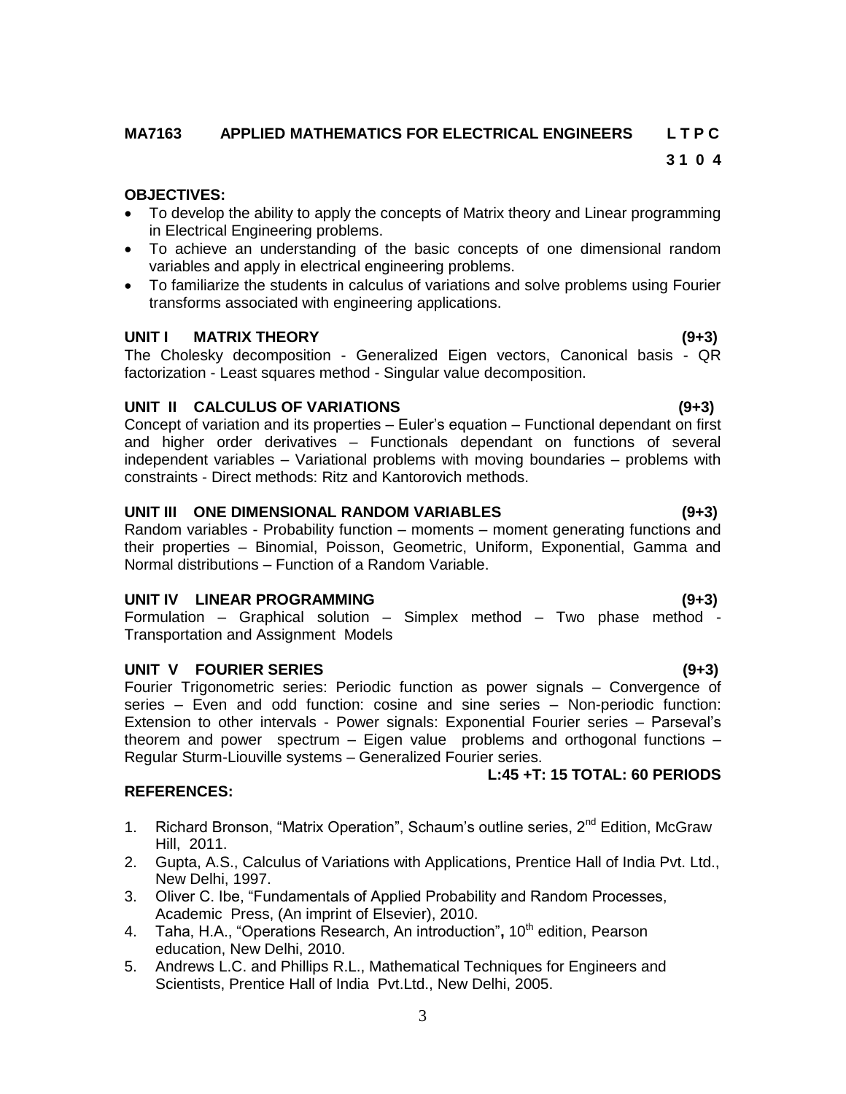### **MA7163 APPLIED MATHEMATICS FOR ELECTRICAL ENGINEERS L T P C**

#### **OBJECTIVES:**

- To develop the ability to apply the concepts of Matrix theory and Linear programming in Electrical Engineering problems.
- To achieve an understanding of the basic concepts of one dimensional random variables and apply in electrical engineering problems.
- To familiarize the students in calculus of variations and solve problems using Fourier transforms associated with engineering applications.

#### **UNIT I MATRIX THEORY (9+3)**

The Cholesky decomposition - Generalized Eigen vectors, Canonical basis - QR factorization - Least squares method - Singular value decomposition.

#### **UNIT II CALCULUS OF VARIATIONS (9+3)**

Concept of variation and its properties – Euler"s equation – Functional dependant on first and higher order derivatives – Functionals dependant on functions of several independent variables – Variational problems with moving boundaries – problems with constraints - Direct methods: Ritz and Kantorovich methods.

#### **UNIT III ONE DIMENSIONAL RANDOM VARIABLES (9+3)**

Random variables - Probability function – moments – moment generating functions and their properties – Binomial, Poisson, Geometric, Uniform, Exponential, Gamma and Normal distributions – Function of a Random Variable.

#### **UNIT IV LINEAR PROGRAMMING (9+3)**

Formulation – Graphical solution – Simplex method – Two phase method - Transportation and Assignment Models

#### **UNIT V FOURIER SERIES (9+3)**

Fourier Trigonometric series: Periodic function as power signals – Convergence of series – Even and odd function: cosine and sine series – Non-periodic function: Extension to other intervals - Power signals: Exponential Fourier series – Parseval"s theorem and power spectrum – Eigen value problems and orthogonal functions – Regular Sturm-Liouville systems – Generalized Fourier series.

#### **REFERENCES:**

- 1. Richard Bronson, "Matrix Operation", Schaum's outline series, 2<sup>nd</sup> Edition, McGraw Hill, 2011.
- 2. Gupta, A.S., Calculus of Variations with Applications, Prentice Hall of India Pvt. Ltd., New Delhi, 1997.
- 3. Oliver C. Ibe, "Fundamentals of Applied Probability and Random Processes, Academic Press, (An imprint of Elsevier), 2010.
- 4. Taha, H.A., "Operations Research, An introduction", 10<sup>th</sup> edition, Pearson education, New Delhi, 2010.
- 5. Andrews L.C. and Phillips R.L., Mathematical Techniques for Engineers and Scientists, Prentice Hall of India Pvt.Ltd., New Delhi, 2005.

**L:45 +T: 15 TOTAL: 60 PERIODS**

# **3 1 0 4**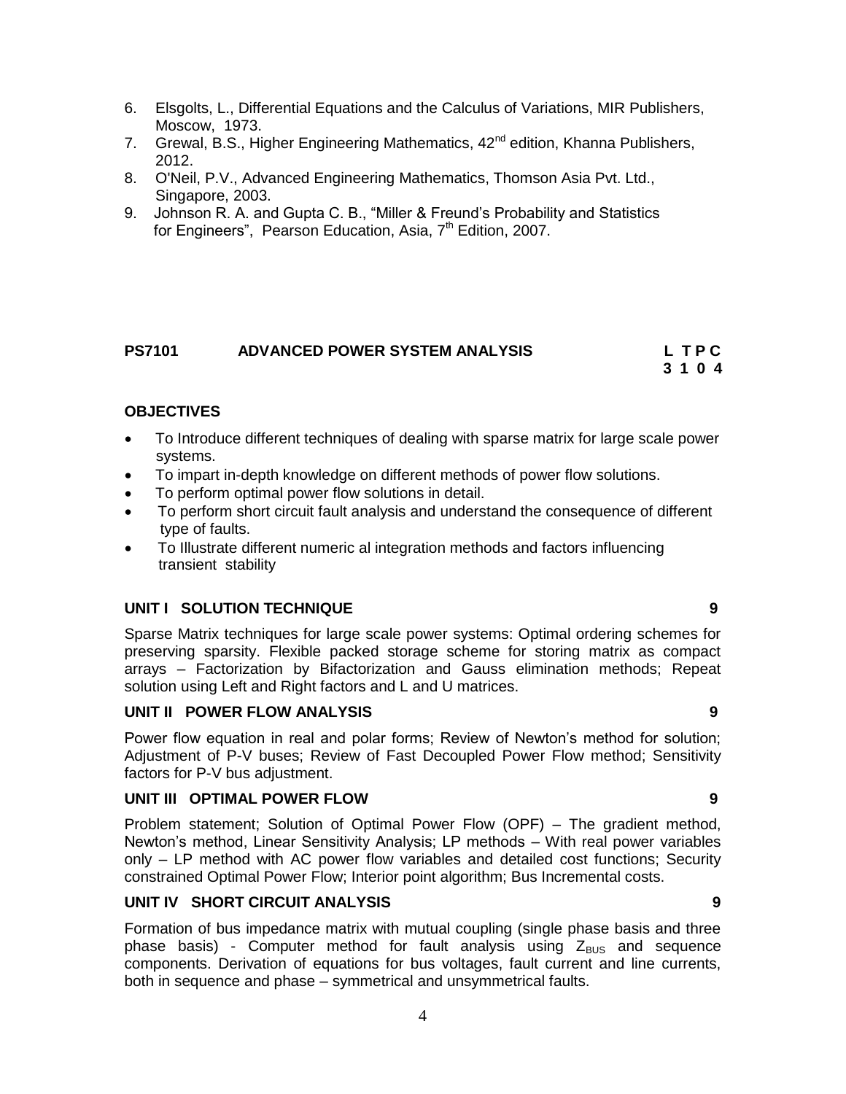- 7. Grewal, B.S., Higher Engineering Mathematics, 42<sup>nd</sup> edition, Khanna Publishers, 2012.
- 8. O'Neil, P.V., Advanced Engineering Mathematics, Thomson Asia Pvt. Ltd., Singapore, 2003.
- 9. Johnson R. A. and Gupta C. B., "Miller & Freund"s Probability and Statistics for Engineers", Pearson Education, Asia,  $7<sup>th</sup>$  Edition, 2007.

#### **PS7101 ADVANCED POWER SYSTEM ANALYSIS L T P C 3 1 0 4**

### **OBJECTIVES**

- To Introduce different techniques of dealing with sparse matrix for large scale power systems.
- To impart in-depth knowledge on different methods of power flow solutions.
- To perform optimal power flow solutions in detail.
- To perform short circuit fault analysis and understand the consequence of different type of faults.
- To Illustrate different numeric al integration methods and factors influencing transient stability

#### **UNIT I SOLUTION TECHNIQUE 9**

Sparse Matrix techniques for large scale power systems: Optimal ordering schemes for preserving sparsity. Flexible packed storage scheme for storing matrix as compact arrays – Factorization by Bifactorization and Gauss elimination methods; Repeat solution using Left and Right factors and L and U matrices.

#### **UNIT II POWER FLOW ANALYSIS 9**

Power flow equation in real and polar forms; Review of Newton's method for solution; Adjustment of P-V buses; Review of Fast Decoupled Power Flow method; Sensitivity factors for P-V bus adjustment.

#### **UNIT III OPTIMAL POWER FLOW 9**

Problem statement; Solution of Optimal Power Flow (OPF) – The gradient method, Newton"s method, Linear Sensitivity Analysis; LP methods – With real power variables only – LP method with AC power flow variables and detailed cost functions; Security constrained Optimal Power Flow; Interior point algorithm; Bus Incremental costs.

#### **UNIT IV SHORT CIRCUIT ANALYSIS 9**

Formation of bus impedance matrix with mutual coupling (single phase basis and three phase basis) - Computer method for fault analysis using  $Z_{BUS}$  and sequence components. Derivation of equations for bus voltages, fault current and line currents, both in sequence and phase – symmetrical and unsymmetrical faults.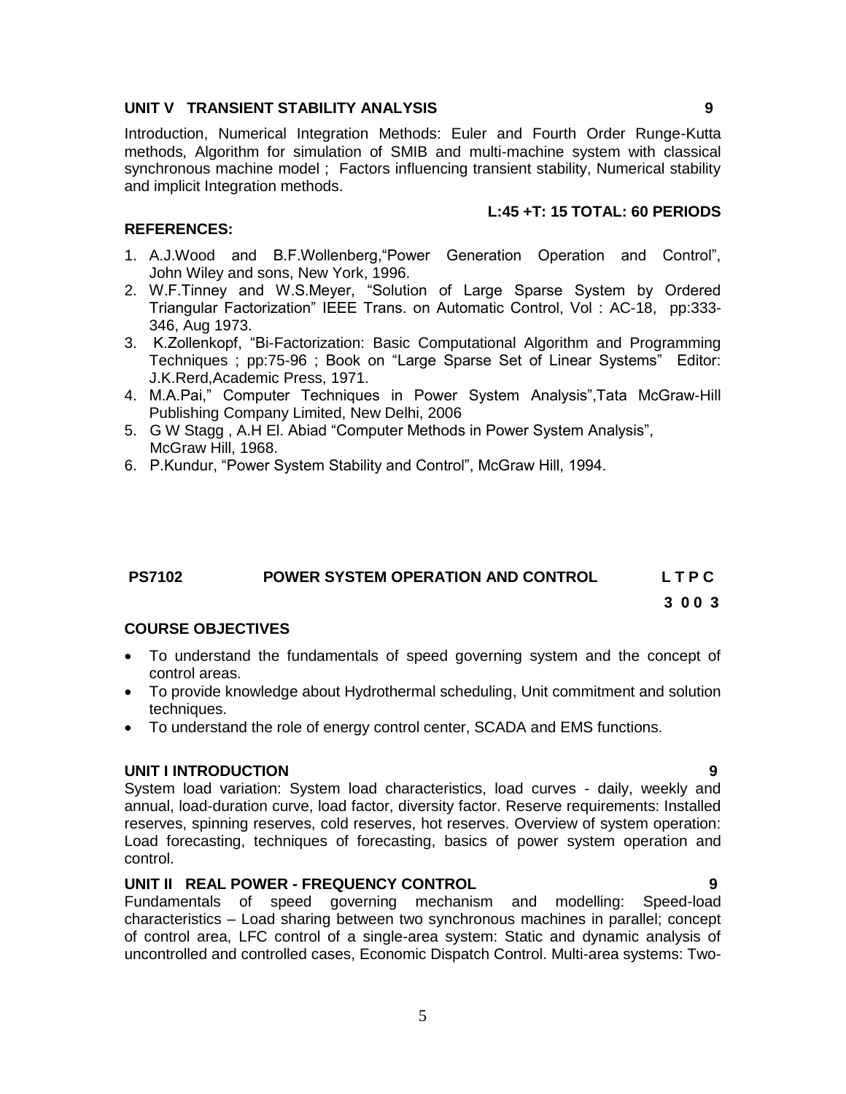#### **UNIT V TRANSIENT STABILITY ANALYSIS 9**

Introduction, Numerical Integration Methods: Euler and Fourth Order Runge-Kutta methods, Algorithm for simulation of SMIB and multi-machine system with classical synchronous machine model ; Factors influencing transient stability, Numerical stability and implicit Integration methods.

#### **L:45 +T: 15 TOTAL: 60 PERIODS**

#### **REFERENCES:**

- 1. A.J.Wood and B.F.Wollenberg,"Power Generation Operation and Control", John Wiley and sons, New York, 1996.
- 2. W.F.Tinney and W.S.Meyer, "Solution of Large Sparse System by Ordered Triangular Factorization" IEEE Trans. on Automatic Control, Vol : AC-18, pp:333- 346, Aug 1973.
- 3. K.Zollenkopf, "Bi-Factorization: Basic Computational Algorithm and Programming Techniques ; pp:75-96 ; Book on "Large Sparse Set of Linear Systems" Editor: J.K.Rerd,Academic Press, 1971.
- 4. M.A.Pai," Computer Techniques in Power System Analysis",Tata McGraw-Hill Publishing Company Limited, New Delhi, 2006
- 5. G W Stagg , A.H El. Abiad "Computer Methods in Power System Analysis", McGraw Hill, 1968.
- 6. P.Kundur, "Power System Stability and Control", McGraw Hill, 1994.

#### **PS7102 POWER SYSTEM OPERATION AND CONTROL L T P C**

**3 0 0 3**

#### **COURSE OBJECTIVES**

- To understand the fundamentals of speed governing system and the concept of control areas.
- To provide knowledge about Hydrothermal scheduling, Unit commitment and solution techniques.
- To understand the role of energy control center, SCADA and EMS functions.

#### **UNIT I INTRODUCTION 9**

System load variation: System load characteristics, load curves - daily, weekly and annual, load-duration curve, load factor, diversity factor. Reserve requirements: Installed reserves, spinning reserves, cold reserves, hot reserves. Overview of system operation: Load forecasting, techniques of forecasting, basics of power system operation and control.

#### **UNIT II REAL POWER - FREQUENCY CONTROL 9**

Fundamentals of speed governing mechanism and modelling: Speed-load characteristics – Load sharing between two synchronous machines in parallel; concept of control area, LFC control of a single-area system: Static and dynamic analysis of uncontrolled and controlled cases, Economic Dispatch Control. Multi-area systems: Two-

5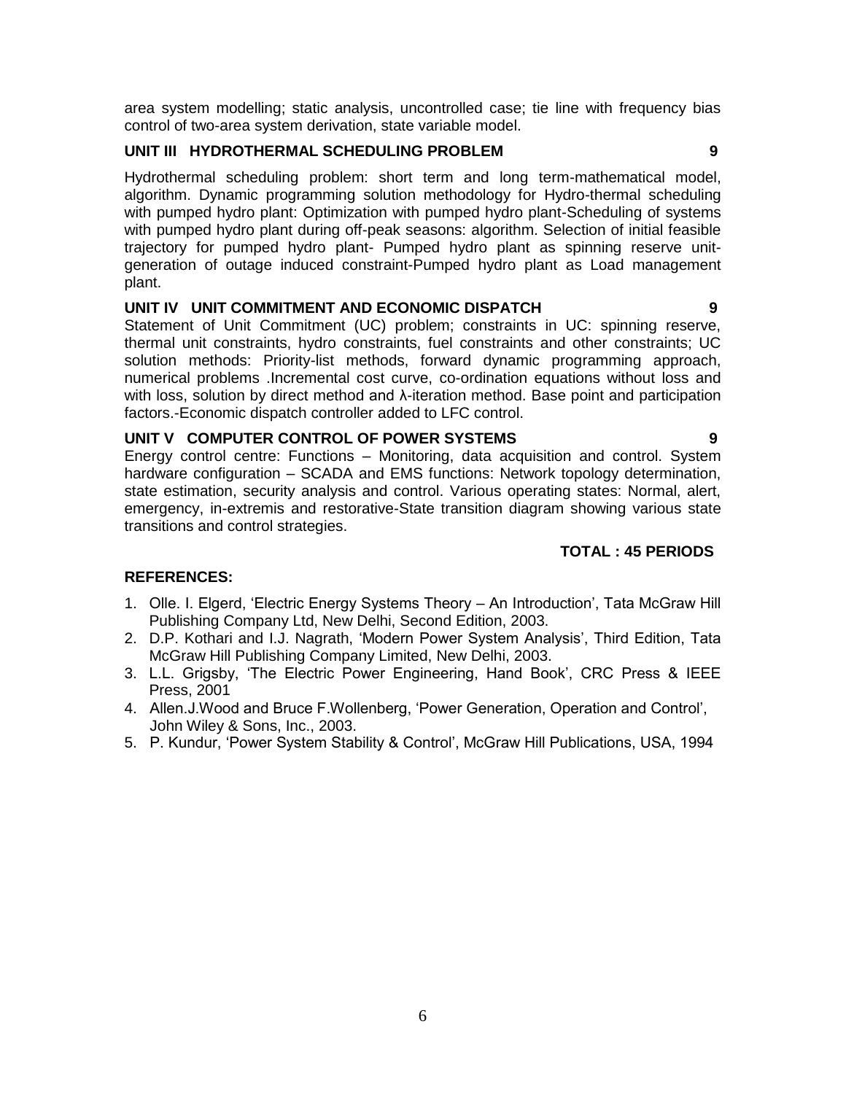area system modelling; static analysis, uncontrolled case; tie line with frequency bias control of two-area system derivation, state variable model.

#### **UNIT III HYDROTHERMAL SCHEDULING PROBLEM 9**

Hydrothermal scheduling problem: short term and long term-mathematical model, algorithm. Dynamic programming solution methodology for Hydro-thermal scheduling with pumped hydro plant: Optimization with pumped hydro plant-Scheduling of systems with pumped hydro plant during off-peak seasons: algorithm. Selection of initial feasible trajectory for pumped hydro plant- Pumped hydro plant as spinning reserve unitgeneration of outage induced constraint-Pumped hydro plant as Load management plant.

#### **UNIT IV UNIT COMMITMENT AND ECONOMIC DISPATCH 9**

Statement of Unit Commitment (UC) problem; constraints in UC: spinning reserve, thermal unit constraints, hydro constraints, fuel constraints and other constraints; UC solution methods: Priority-list methods, forward dynamic programming approach, numerical problems .Incremental cost curve, co-ordination equations without loss and with loss, solution by direct method and λ-iteration method. Base point and participation factors.-Economic dispatch controller added to LFC control.

#### **UNIT V COMPUTER CONTROL OF POWER SYSTEMS 9**

Energy control centre: Functions – Monitoring, data acquisition and control. System hardware configuration – SCADA and EMS functions: Network topology determination, state estimation, security analysis and control. Various operating states: Normal, alert, emergency, in-extremis and restorative-State transition diagram showing various state transitions and control strategies.

#### **TOTAL : 45 PERIODS**

#### **REFERENCES:**

- 1. Olle. I. Elgerd, "Electric Energy Systems Theory An Introduction", Tata McGraw Hill Publishing Company Ltd, New Delhi, Second Edition, 2003.
- 2. D.P. Kothari and I.J. Nagrath, "Modern Power System Analysis", Third Edition, Tata McGraw Hill Publishing Company Limited, New Delhi, 2003.
- 3. L.L. Grigsby, "The Electric Power Engineering, Hand Book", CRC Press & IEEE Press, 2001
- 4. Allen.J.Wood and Bruce F.Wollenberg, "Power Generation, Operation and Control", John Wiley & Sons, Inc., 2003.
- 5. P. Kundur, "Power System Stability & Control", McGraw Hill Publications, USA, 1994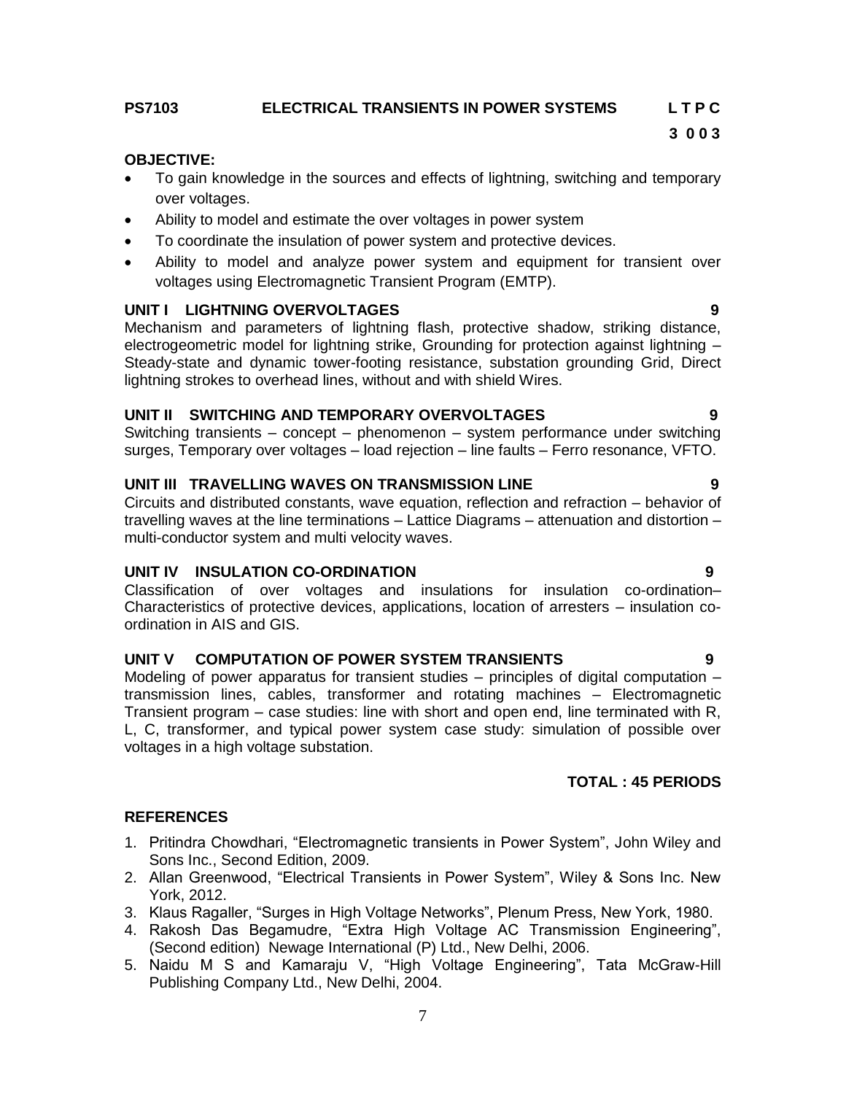### **PS7103 ELECTRICAL TRANSIENTS IN POWER SYSTEMS L T P C**

# **3 0 0 3**

#### **OBJECTIVE:**

- To gain knowledge in the sources and effects of lightning, switching and temporary over voltages.
- Ability to model and estimate the over voltages in power system
- To coordinate the insulation of power system and protective devices.
- Ability to model and analyze power system and equipment for transient over voltages using Electromagnetic Transient Program (EMTP).

#### **UNIT I LIGHTNING OVERVOLTAGES 9**

Mechanism and parameters of lightning flash, protective shadow, striking distance, electrogeometric model for lightning strike, Grounding for protection against lightning – Steady-state and dynamic tower-footing resistance, substation grounding Grid, Direct lightning strokes to overhead lines, without and with shield Wires.

#### **UNIT II SWITCHING AND TEMPORARY OVERVOLTAGES 9**

Switching transients – concept – phenomenon – system performance under switching surges, Temporary over voltages – load rejection – line faults – Ferro resonance, VFTO.

#### **UNIT III TRAVELLING WAVES ON TRANSMISSION LINE 9**

Circuits and distributed constants, wave equation, reflection and refraction – behavior of travelling waves at the line terminations – Lattice Diagrams – attenuation and distortion – multi-conductor system and multi velocity waves.

#### **UNIT IV INSULATION CO-ORDINATION 9**

Classification of over voltages and insulations for insulation co-ordination– Characteristics of protective devices, applications, location of arresters – insulation coordination in AIS and GIS.

#### **UNIT V COMPUTATION OF POWER SYSTEM TRANSIENTS 9**

Modeling of power apparatus for transient studies  $-$  principles of digital computation  $$ transmission lines, cables, transformer and rotating machines – Electromagnetic Transient program – case studies: line with short and open end, line terminated with R, L, C, transformer, and typical power system case study: simulation of possible over voltages in a high voltage substation.

#### **TOTAL : 45 PERIODS**

#### **REFERENCES**

- 1. Pritindra Chowdhari, "Electromagnetic transients in Power System", John Wiley and Sons Inc., Second Edition, 2009.
- 2. Allan Greenwood, "Electrical Transients in Power System", Wiley & Sons Inc. New York, 2012.
- 3. Klaus Ragaller, "Surges in High Voltage Networks", Plenum Press, New York, 1980.
- 4. Rakosh Das Begamudre, "Extra High Voltage AC Transmission Engineering", (Second edition) Newage International (P) Ltd., New Delhi, 2006.
- 5. Naidu M S and Kamaraju V, "High Voltage Engineering", Tata McGraw-Hill Publishing Company Ltd., New Delhi, 2004.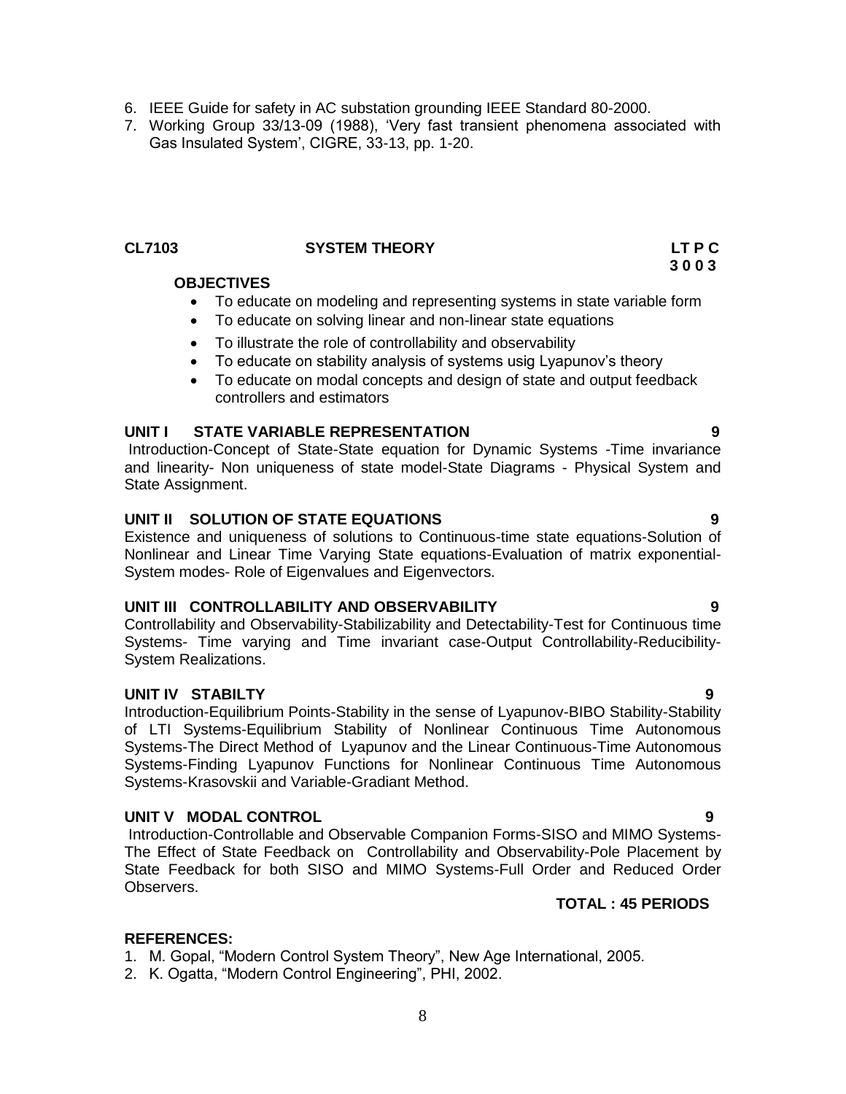- 6. IEEE Guide for safety in AC substation grounding IEEE Standard 80-2000.
- 7. Working Group 33/13-09 (1988), "Very fast transient phenomena associated with Gas Insulated System", CIGRE, 33-13, pp. 1-20.

### **CL7103 SYSTEM THEORY LT P C**

### **OBJECTIVES**

- To educate on modeling and representing systems in state variable form
- To educate on solving linear and non-linear state equations
- To illustrate the role of controllability and observability
- To educate on stability analysis of systems usig Lyapunov's theory
- To educate on modal concepts and design of state and output feedback controllers and estimators

#### **UNIT I STATE VARIABLE REPRESENTATION 9**

Introduction-Concept of State-State equation for Dynamic Systems -Time invariance and linearity- Non uniqueness of state model-State Diagrams - Physical System and State Assignment.

#### **UNIT II SOLUTION OF STATE EQUATIONS 9**

Existence and uniqueness of solutions to Continuous-time state equations-Solution of Nonlinear and Linear Time Varying State equations-Evaluation of matrix exponential-System modes- Role of Eigenvalues and Eigenvectors.

#### **UNIT III CONTROLLABILITY AND OBSERVABILITY 9**

Controllability and Observability-Stabilizability and Detectability-Test for Continuous time Systems- Time varying and Time invariant case-Output Controllability-Reducibility-System Realizations.

### **UNIT IV STABILTY 9**

Introduction-Equilibrium Points-Stability in the sense of Lyapunov-BIBO Stability-Stability of LTI Systems-Equilibrium Stability of Nonlinear Continuous Time Autonomous Systems-The Direct Method of Lyapunov and the Linear Continuous-Time Autonomous Systems-Finding Lyapunov Functions for Nonlinear Continuous Time Autonomous Systems-Krasovskii and Variable-Gradiant Method.

#### **UNIT V MODAL CONTROL 9**

Introduction-Controllable and Observable Companion Forms-SISO and MIMO Systems-The Effect of State Feedback on Controllability and Observability-Pole Placement by State Feedback for both SISO and MIMO Systems-Full Order and Reduced Order Observers.

### **TOTAL : 45 PERIODS**

#### **REFERENCES:**

- 1. M. Gopal, "Modern Control System Theory", New Age International, 2005.
- 2. K. Ogatta, "Modern Control Engineering", PHI, 2002.

 **3 0 0 3**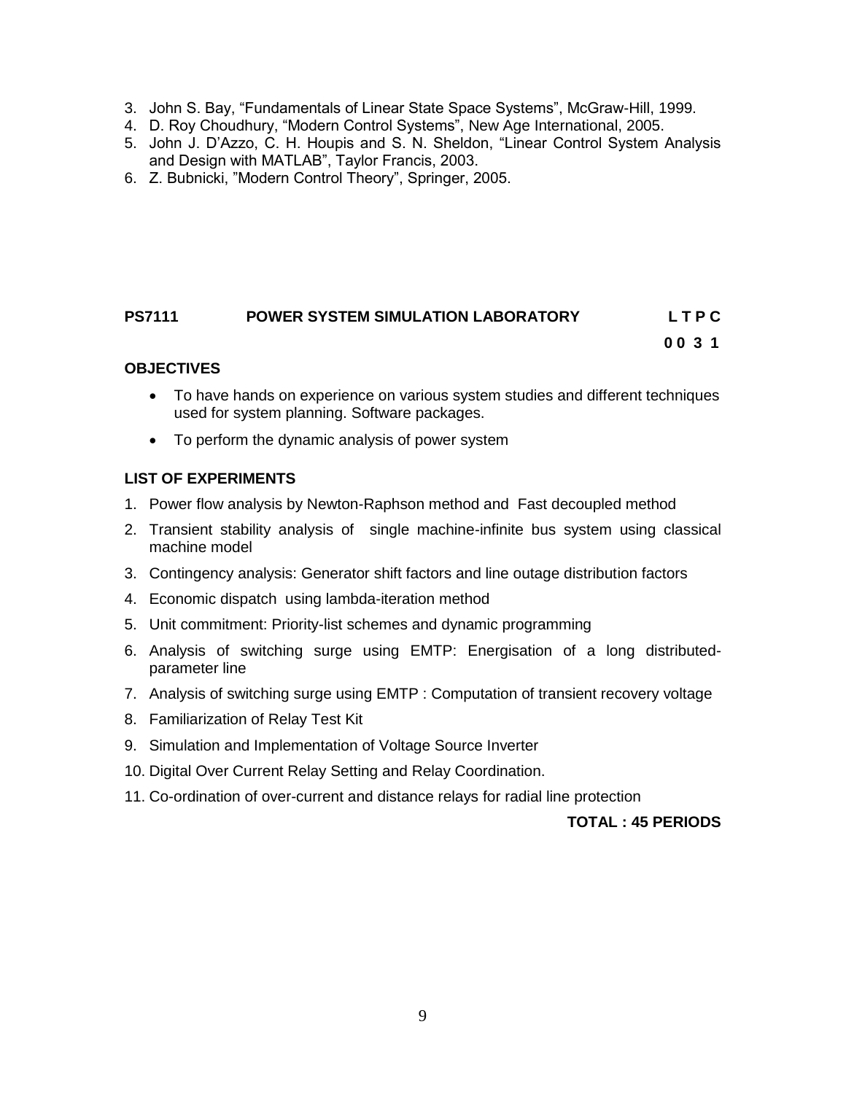- 3. John S. Bay, "Fundamentals of Linear State Space Systems", McGraw-Hill, 1999.
- 4. D. Roy Choudhury, "Modern Control Systems", New Age International, 2005.
- 5. John J. D"Azzo, C. H. Houpis and S. N. Sheldon, "Linear Control System Analysis and Design with MATLAB", Taylor Francis, 2003.
- 6. Z. Bubnicki, "Modern Control Theory", Springer, 2005.

# **PS7111 POWER SYSTEM SIMULATION LABORATORY L T P C**

### **0 0 3 1**

#### **OBJECTIVES**

- To have hands on experience on various system studies and different techniques used for system planning. Software packages.
- To perform the dynamic analysis of power system

### **LIST OF EXPERIMENTS**

- 1. Power flow analysis by Newton-Raphson method and Fast decoupled method
- 2. Transient stability analysis of single machine-infinite bus system using classical machine model
- 3. Contingency analysis: Generator shift factors and line outage distribution factors
- 4. Economic dispatch using lambda-iteration method
- 5. Unit commitment: Priority-list schemes and dynamic programming
- 6. Analysis of switching surge using EMTP: Energisation of a long distributedparameter line
- 7. Analysis of switching surge using EMTP : Computation of transient recovery voltage
- 8. Familiarization of Relay Test Kit
- 9. Simulation and Implementation of Voltage Source Inverter
- 10. Digital Over Current Relay Setting and Relay Coordination.
- 11. Co-ordination of over-current and distance relays for radial line protection

#### **TOTAL : 45 PERIODS**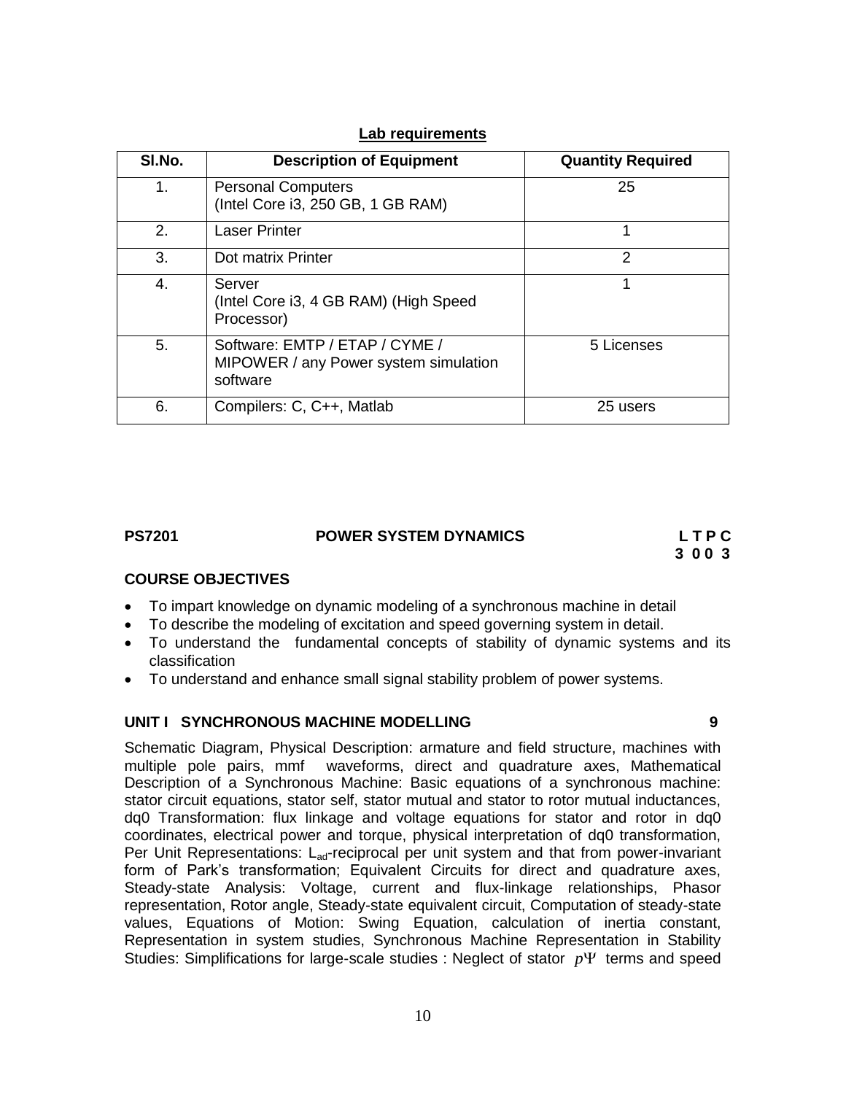| SI.No.                      | <b>Description of Equipment</b>                                                     | <b>Quantity Required</b> |
|-----------------------------|-------------------------------------------------------------------------------------|--------------------------|
| $1_{-}$                     | <b>Personal Computers</b><br>(Intel Core i3, 250 GB, 1 GB RAM)                      | 25                       |
| $\mathcal{P}_{\mathcal{C}}$ | <b>Laser Printer</b>                                                                | 1                        |
| 3.                          | Dot matrix Printer                                                                  | $\mathcal{P}$            |
| 4.                          | Server<br>(Intel Core i3, 4 GB RAM) (High Speed<br>Processor)                       |                          |
| 5.                          | Software: EMTP / ETAP / CYME /<br>MIPOWER / any Power system simulation<br>software | 5 Licenses               |
| 6.                          | Compilers: C, C++, Matlab                                                           | 25 users                 |

#### **Lab requirements**

# **PS7201 POWER SYSTEM DYNAMICS L T P C**

**3 0 0 3**

### **COURSE OBJECTIVES**

- To impart knowledge on dynamic modeling of a synchronous machine in detail
- To describe the modeling of excitation and speed governing system in detail.
- To understand the fundamental concepts of stability of dynamic systems and its classification
- To understand and enhance small signal stability problem of power systems.

#### **UNIT I SYNCHRONOUS MACHINE MODELLING 9**

Schematic Diagram, Physical Description: armature and field structure, machines with multiple pole pairs, mmf waveforms, direct and quadrature axes, Mathematical Description of a Synchronous Machine: Basic equations of a synchronous machine: stator circuit equations, stator self, stator mutual and stator to rotor mutual inductances, dq0 Transformation: flux linkage and voltage equations for stator and rotor in dq0 coordinates, electrical power and torque, physical interpretation of dq0 transformation, Per Unit Representations:  $L_{\text{ad}}$ -reciprocal per unit system and that from power-invariant form of Park"s transformation; Equivalent Circuits for direct and quadrature axes, Steady-state Analysis: Voltage, current and flux-linkage relationships, Phasor representation, Rotor angle, Steady-state equivalent circuit, Computation of steady-state values, Equations of Motion: Swing Equation, calculation of inertia constant, Representation in system studies, Synchronous Machine Representation in Stability Studies: Simplifications for large-scale studies : Neglect of stator  $p\Psi$  terms and speed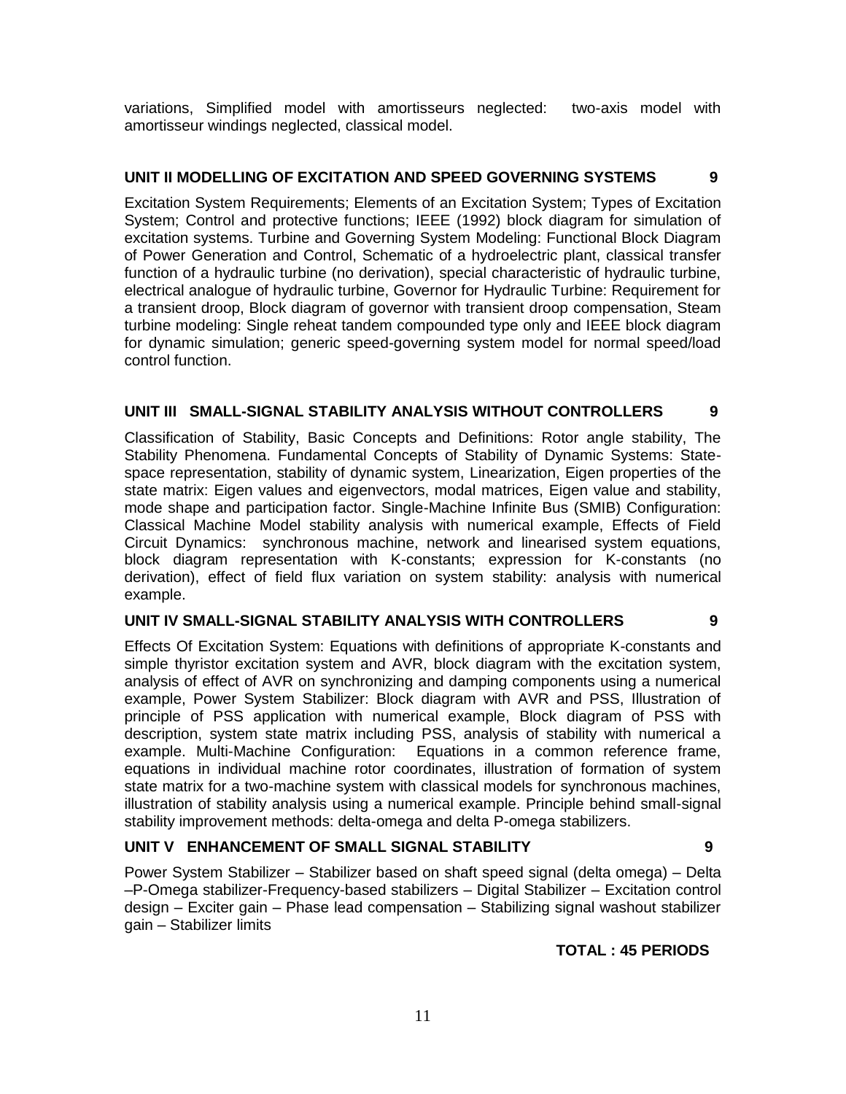variations, Simplified model with amortisseurs neglected: two-axis model with amortisseur windings neglected, classical model.

#### **UNIT II MODELLING OF EXCITATION AND SPEED GOVERNING SYSTEMS 9**

Excitation System Requirements; Elements of an Excitation System; Types of Excitation System; Control and protective functions; IEEE (1992) block diagram for simulation of excitation systems. Turbine and Governing System Modeling: Functional Block Diagram of Power Generation and Control, Schematic of a hydroelectric plant, classical transfer function of a hydraulic turbine (no derivation), special characteristic of hydraulic turbine, electrical analogue of hydraulic turbine, Governor for Hydraulic Turbine: Requirement for a transient droop, Block diagram of governor with transient droop compensation, Steam turbine modeling: Single reheat tandem compounded type only and IEEE block diagram for dynamic simulation; generic speed-governing system model for normal speed/load control function.

#### **UNIT III SMALL-SIGNAL STABILITY ANALYSIS WITHOUT CONTROLLERS 9**

Classification of Stability, Basic Concepts and Definitions: Rotor angle stability, The Stability Phenomena. Fundamental Concepts of Stability of Dynamic Systems: Statespace representation, stability of dynamic system, Linearization, Eigen properties of the state matrix: Eigen values and eigenvectors, modal matrices, Eigen value and stability, mode shape and participation factor. Single-Machine Infinite Bus (SMIB) Configuration: Classical Machine Model stability analysis with numerical example, Effects of Field Circuit Dynamics: synchronous machine, network and linearised system equations, block diagram representation with K-constants; expression for K-constants (no derivation), effect of field flux variation on system stability: analysis with numerical example.

#### **UNIT IV SMALL-SIGNAL STABILITY ANALYSIS WITH CONTROLLERS 9**

Effects Of Excitation System: Equations with definitions of appropriate K-constants and simple thyristor excitation system and AVR, block diagram with the excitation system, analysis of effect of AVR on synchronizing and damping components using a numerical example, Power System Stabilizer: Block diagram with AVR and PSS, Illustration of principle of PSS application with numerical example, Block diagram of PSS with description, system state matrix including PSS, analysis of stability with numerical a example. Multi-Machine Configuration: Equations in a common reference frame, equations in individual machine rotor coordinates, illustration of formation of system state matrix for a two-machine system with classical models for synchronous machines, illustration of stability analysis using a numerical example. Principle behind small-signal stability improvement methods: delta-omega and delta P-omega stabilizers.

#### **UNIT V ENHANCEMENT OF SMALL SIGNAL STABILITY 9**

Power System Stabilizer – Stabilizer based on shaft speed signal (delta omega) – Delta –P-Omega stabilizer-Frequency-based stabilizers – Digital Stabilizer – Excitation control design – Exciter gain – Phase lead compensation – Stabilizing signal washout stabilizer gain – Stabilizer limits

#### **TOTAL : 45 PERIODS**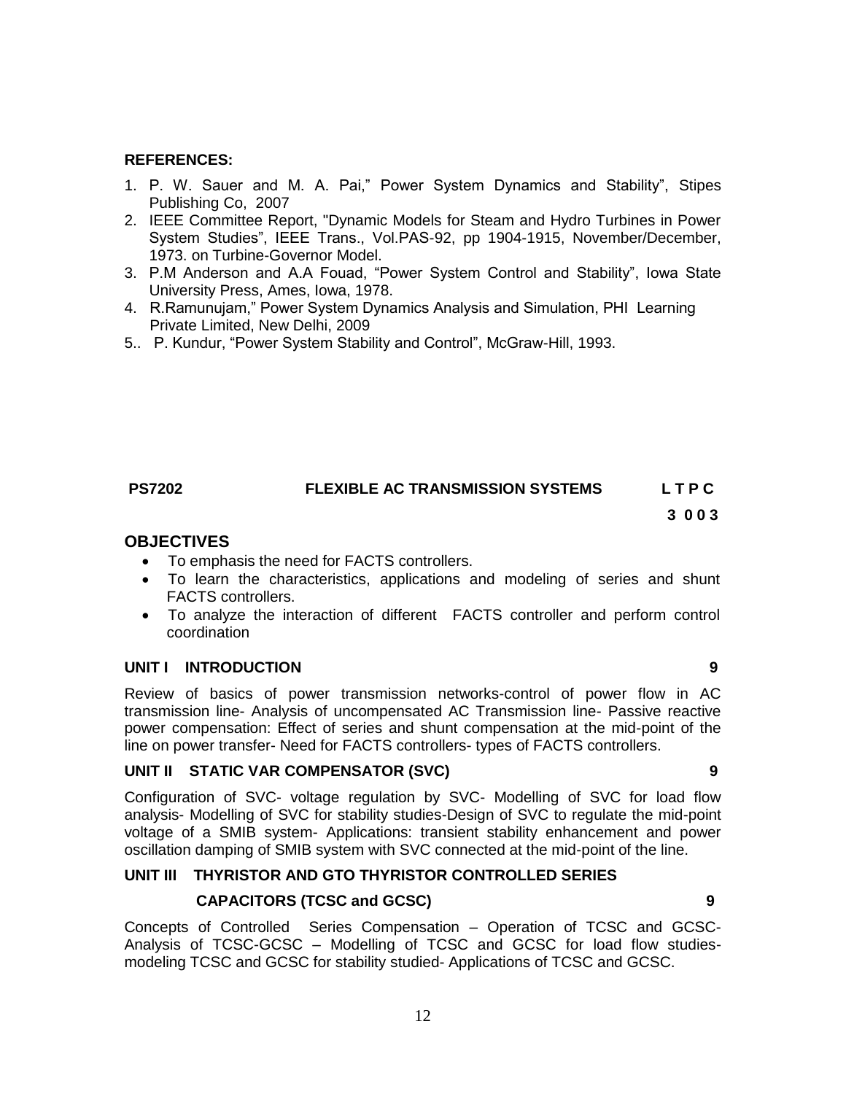#### **REFERENCES:**

- 1. P. W. Sauer and M. A. Pai," Power System Dynamics and Stability", Stipes Publishing Co, 2007
- 2. IEEE Committee Report, "Dynamic Models for Steam and Hydro Turbines in Power System Studies", IEEE Trans., Vol.PAS-92, pp 1904-1915, November/December, 1973. on Turbine-Governor Model.
- 3. P.M Anderson and A.A Fouad, "Power System Control and Stability", Iowa State University Press, Ames, Iowa, 1978.
- 4. R.Ramunujam," Power System Dynamics Analysis and Simulation, PHI Learning Private Limited, New Delhi, 2009
- 5.. P. Kundur, "Power System Stability and Control", McGraw-Hill, 1993.

#### **PS7202 FLEXIBLE AC TRANSMISSION SYSTEMS L T P C**

### **3 0 0 3**

#### **OBJECTIVES**

- To emphasis the need for FACTS controllers.
- To learn the characteristics, applications and modeling of series and shunt FACTS controllers.
- To analyze the interaction of different FACTS controller and perform control coordination

#### **UNIT I INTRODUCTION 9**

Review of basics of power transmission networks-control of power flow in AC transmission line- Analysis of uncompensated AC Transmission line- Passive reactive power compensation: Effect of series and shunt compensation at the mid-point of the line on power transfer- Need for FACTS controllers- types of FACTS controllers.

#### **UNIT II STATIC VAR COMPENSATOR (SVC) 9**

Configuration of SVC- voltage regulation by SVC- Modelling of SVC for load flow analysis- Modelling of SVC for stability studies-Design of SVC to regulate the mid-point voltage of a SMIB system- Applications: transient stability enhancement and power oscillation damping of SMIB system with SVC connected at the mid-point of the line.

#### **UNIT III THYRISTOR AND GTO THYRISTOR CONTROLLED SERIES**

#### **CAPACITORS (TCSC and GCSC) 9**

Concepts of Controlled Series Compensation – Operation of TCSC and GCSC-Analysis of TCSC-GCSC – Modelling of TCSC and GCSC for load flow studiesmodeling TCSC and GCSC for stability studied- Applications of TCSC and GCSC.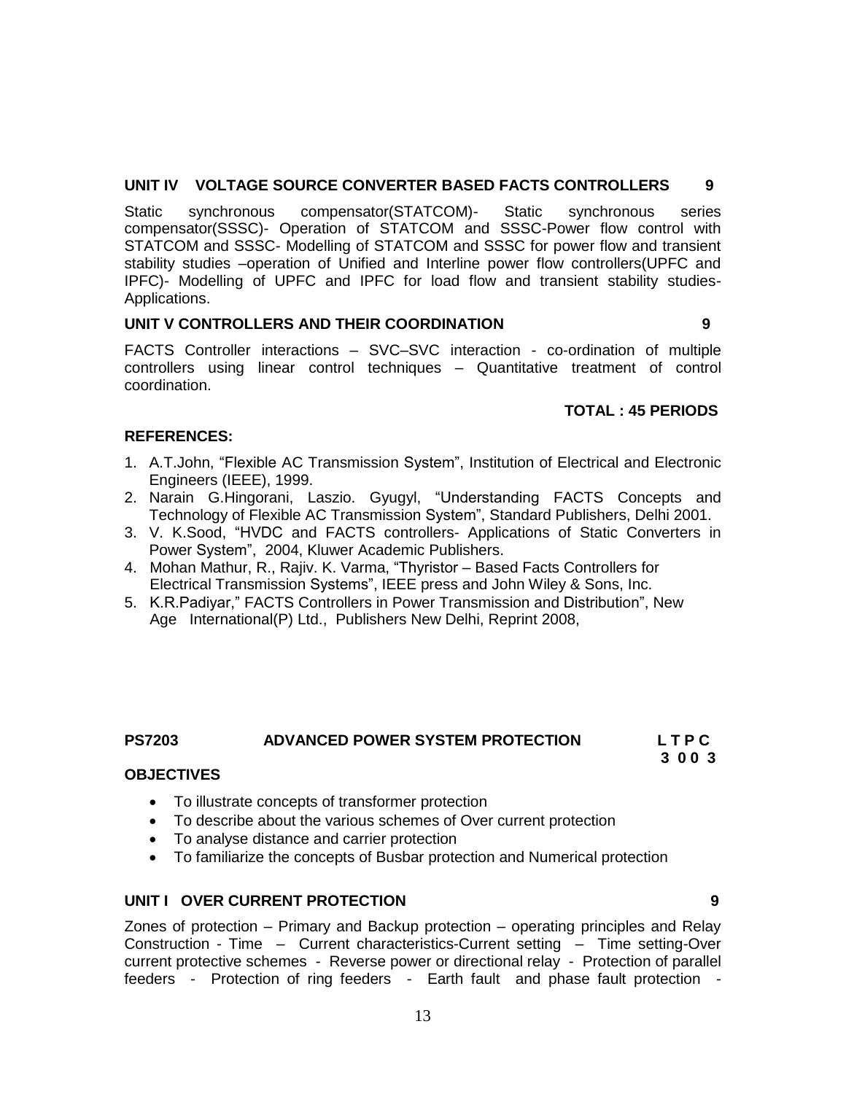#### **UNIT IV VOLTAGE SOURCE CONVERTER BASED FACTS CONTROLLERS 9**

Static synchronous compensator(STATCOM)- Static synchronous series compensator(SSSC)- Operation of STATCOM and SSSC-Power flow control with STATCOM and SSSC- Modelling of STATCOM and SSSC for power flow and transient stability studies –operation of Unified and Interline power flow controllers(UPFC and IPFC)- Modelling of UPFC and IPFC for load flow and transient stability studies-Applications.

#### **UNIT V CONTROLLERS AND THEIR COORDINATION 9**

FACTS Controller interactions – SVC–SVC interaction - co-ordination of multiple controllers using linear control techniques – Quantitative treatment of control coordination.

#### **TOTAL : 45 PERIODS**

#### **REFERENCES:**

- 1. A.T.John, "Flexible AC Transmission System", Institution of Electrical and Electronic Engineers (IEEE), 1999.
- 2. Narain G.Hingorani, Laszio. Gyugyl, "Understanding FACTS Concepts and Technology of Flexible AC Transmission System", Standard Publishers, Delhi 2001.
- 3. V. K.Sood, "HVDC and FACTS controllers- Applications of Static Converters in Power System", 2004, Kluwer Academic Publishers.
- 4. Mohan Mathur, R., Rajiv. K. Varma, "Thyristor Based Facts Controllers for Electrical Transmission Systems", IEEE press and John Wiley & Sons, Inc.
- 5. K.R.Padiyar," FACTS Controllers in Power Transmission and Distribution", New Age International(P) Ltd., Publishers New Delhi, Reprint 2008,

# **PS7203 ADVANCED POWER SYSTEM PROTECTION L T P C**

 **3 0 0 3**

#### **OBJECTIVES**

- To illustrate concepts of transformer protection
- To describe about the various schemes of Over current protection
- To analyse distance and carrier protection
- To familiarize the concepts of Busbar protection and Numerical protection

#### **UNIT I OVER CURRENT PROTECTION 9**

Zones of protection – Primary and Backup protection – operating principles and Relay Construction - Time – Current characteristics-Current setting – Time setting-Over current protective schemes - Reverse power or directional relay - Protection of parallel feeders - Protection of ring feeders - Earth fault and phase fault protection -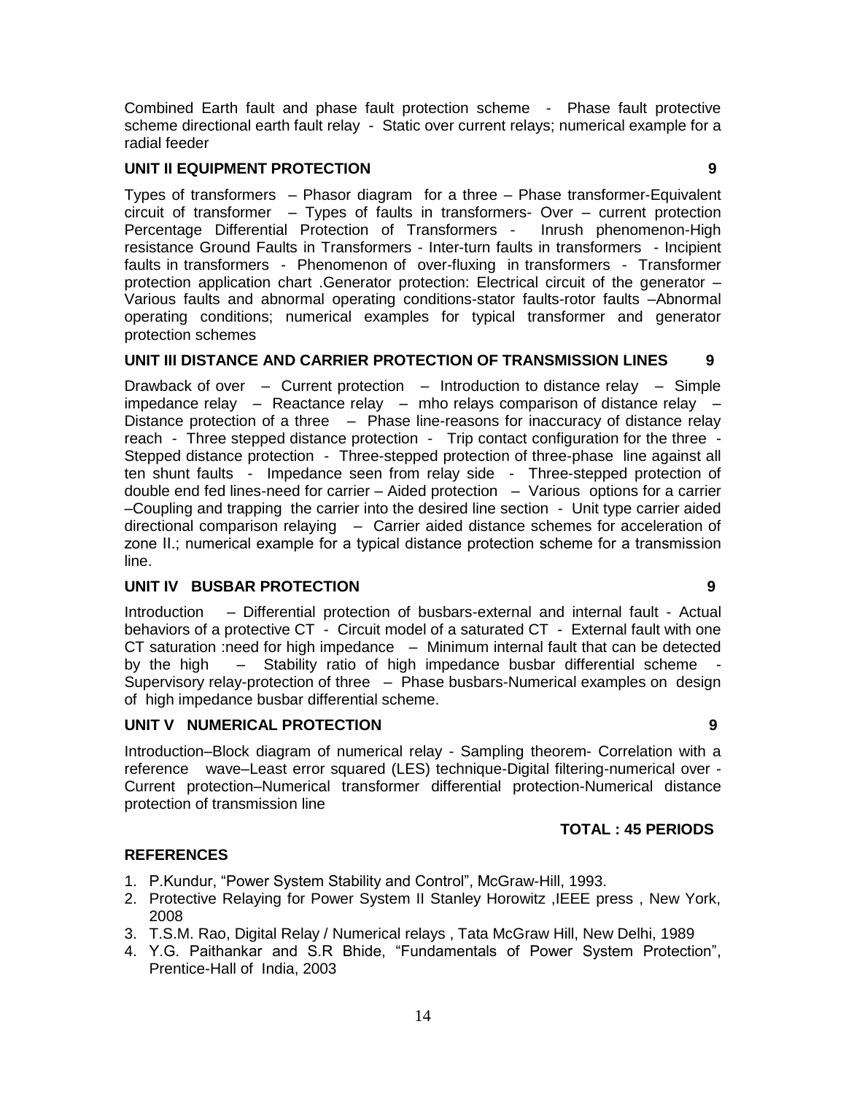Combined Earth fault and phase fault protection scheme - Phase fault protective scheme directional earth fault relay - Static over current relays; numerical example for a radial feeder

#### **UNIT II EQUIPMENT PROTECTION 9**

Types of transformers – Phasor diagram for a three – Phase transformer-Equivalent circuit of transformer – Types of faults in transformers- Over – current protection Percentage Differential Protection of Transformers - Inrush phenomenon-High resistance Ground Faults in Transformers - Inter-turn faults in transformers - Incipient faults in transformers - Phenomenon of over-fluxing in transformers - Transformer protection application chart .Generator protection: Electrical circuit of the generator – Various faults and abnormal operating conditions-stator faults-rotor faults –Abnormal operating conditions; numerical examples for typical transformer and generator protection schemes

#### **UNIT III DISTANCE AND CARRIER PROTECTION OF TRANSMISSION LINES 9**

Drawback of over – Current protection – Introduction to distance relay – Simple impedance relay  $-$  Reactance relay  $-$  mho relays comparison of distance relay  $-$ Distance protection of a three – Phase line-reasons for inaccuracy of distance relay reach - Three stepped distance protection - Trip contact configuration for the three -Stepped distance protection - Three-stepped protection of three-phase line against all ten shunt faults - Impedance seen from relay side - Three-stepped protection of double end fed lines-need for carrier – Aided protection – Various options for a carrier –Coupling and trapping the carrier into the desired line section - Unit type carrier aided directional comparison relaying – Carrier aided distance schemes for acceleration of zone ΙΙ.; numerical example for a typical distance protection scheme for a transmission line.

#### **UNIT IV BUSBAR PROTECTION 9**

Introduction – Differential protection of busbars-external and internal fault - Actual behaviors of a protective CT - Circuit model of a saturated CT - External fault with one CT saturation :need for high impedance – Minimum internal fault that can be detected by the high  $-$  Stability ratio of high impedance busbar differential scheme Supervisory relay-protection of three – Phase busbars-Numerical examples on design of high impedance busbar differential scheme.

#### **UNIT V NUMERICAL PROTECTION 9**

Introduction–Block diagram of numerical relay - Sampling theorem- Correlation with a reference wave–Least error squared (LES) technique-Digital filtering-numerical over - Current protection–Numerical transformer differential protection-Numerical distance protection of transmission line

#### **TOTAL : 45 PERIODS**

#### **REFERENCES**

- 1. P.Kundur, "Power System Stability and Control", McGraw-Hill, 1993.
- 2. Protective Relaying for Power System II Stanley Horowitz ,IEEE press , New York, 2008
- 3. T.S.M. Rao, Digital Relay / Numerical relays , Tata McGraw Hill, New Delhi, 1989
- 4. Y.G. Paithankar and S.R Bhide, "Fundamentals of Power System Protection", Prentice-Hall of India, 2003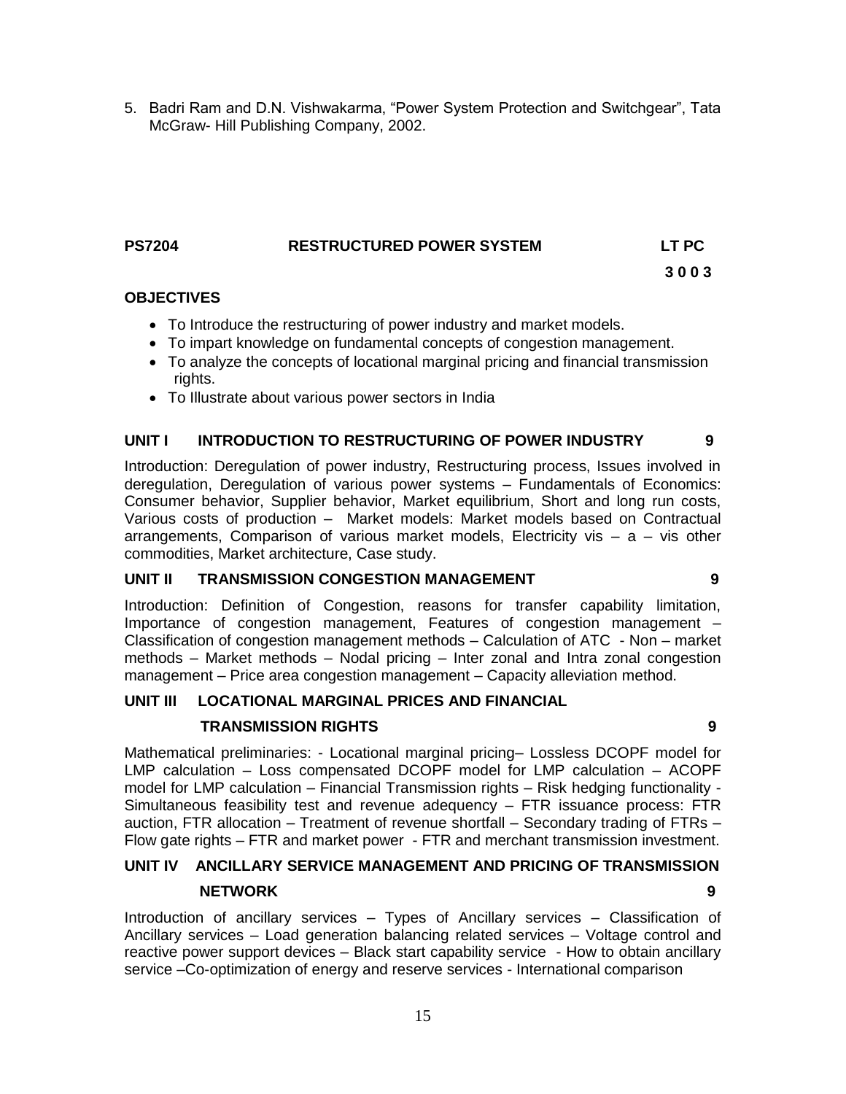5. Badri Ram and D.N. Vishwakarma, "Power System Protection and Switchgear", Tata McGraw- Hill Publishing Company, 2002.

#### **PS7204 RESTRUCTURED POWER SYSTEM LT PC**

 **3 0 0 3**

**OBJECTIVES**

- To Introduce the restructuring of power industry and market models.
- To impart knowledge on fundamental concepts of congestion management.
- To analyze the concepts of locational marginal pricing and financial transmission rights.
- To Illustrate about various power sectors in India

#### **UNIT I INTRODUCTION TO RESTRUCTURING OF POWER INDUSTRY 9**

Introduction: Deregulation of power industry, Restructuring process, Issues involved in deregulation, Deregulation of various power systems – Fundamentals of Economics: Consumer behavior, Supplier behavior, Market equilibrium, Short and long run costs, Various costs of production – Market models: Market models based on Contractual arrangements, Comparison of various market models, Electricity vis  $-$  a  $-$  vis other commodities, Market architecture, Case study.

#### **UNIT II TRANSMISSION CONGESTION MANAGEMENT 9**

Introduction: Definition of Congestion, reasons for transfer capability limitation, Importance of congestion management, Features of congestion management – Classification of congestion management methods – Calculation of ATC - Non – market methods – Market methods – Nodal pricing – Inter zonal and Intra zonal congestion management – Price area congestion management – Capacity alleviation method.

#### **UNIT III LOCATIONAL MARGINAL PRICES AND FINANCIAL**

#### **TRANSMISSION RIGHTS 9**

Mathematical preliminaries: - Locational marginal pricing– Lossless DCOPF model for LMP calculation – Loss compensated DCOPF model for LMP calculation – ACOPF model for LMP calculation – Financial Transmission rights – Risk hedging functionality - Simultaneous feasibility test and revenue adequency – FTR issuance process: FTR auction, FTR allocation – Treatment of revenue shortfall – Secondary trading of FTRs – Flow gate rights – FTR and market power - FTR and merchant transmission investment.

# **UNIT IV ANCILLARY SERVICE MANAGEMENT AND PRICING OF TRANSMISSION**

#### **NETWORK 9**

Introduction of ancillary services – Types of Ancillary services – Classification of Ancillary services – Load generation balancing related services – Voltage control and reactive power support devices – Black start capability service - How to obtain ancillary service –Co-optimization of energy and reserve services - International comparison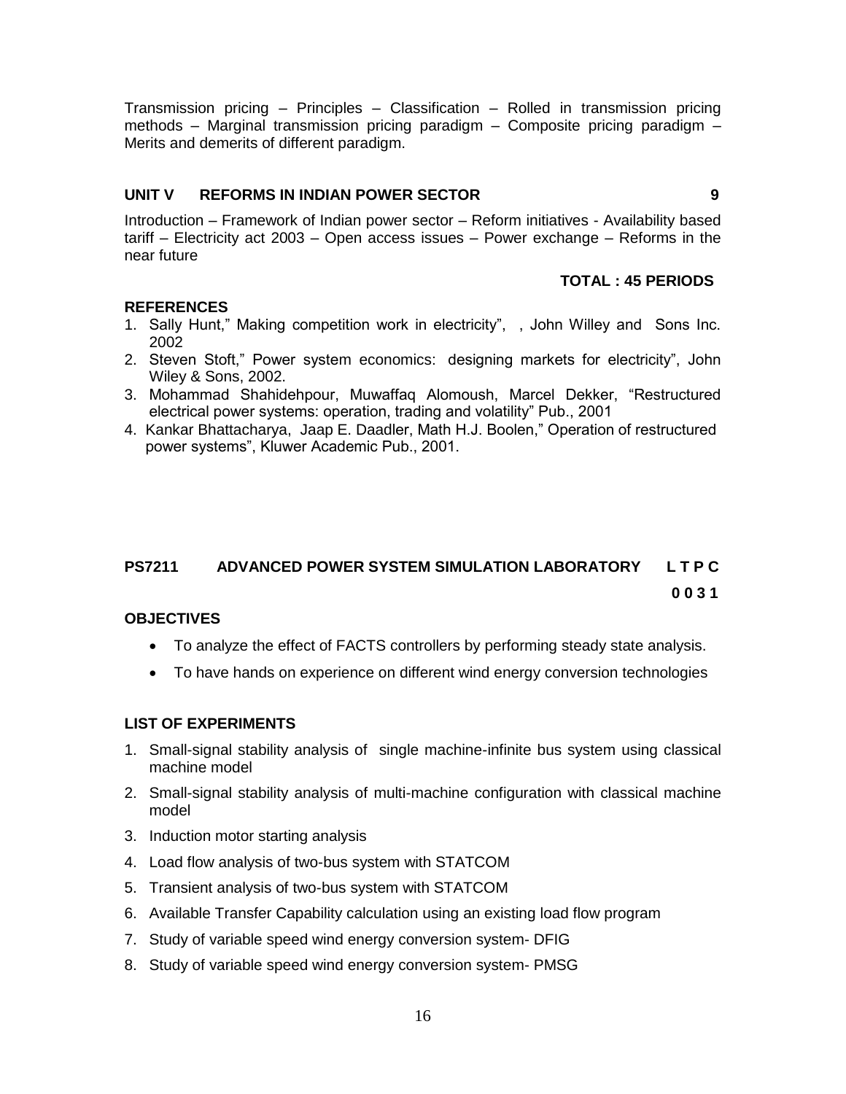Transmission pricing – Principles – Classification – Rolled in transmission pricing methods – Marginal transmission pricing paradigm – Composite pricing paradigm – Merits and demerits of different paradigm.

#### **UNIT V REFORMS IN INDIAN POWER SECTOR 9**

Introduction – Framework of Indian power sector – Reform initiatives - Availability based tariff – Electricity act 2003 – Open access issues – Power exchange – Reforms in the near future

#### **TOTAL : 45 PERIODS**

### **REFERENCES**

- 1. Sally Hunt," Making competition work in electricity", , John Willey and Sons Inc. 2002
- 2. Steven Stoft," Power system economics: designing markets for electricity", John Wiley & Sons, 2002.
- 3. Mohammad Shahidehpour, Muwaffaq Alomoush, Marcel Dekker, "Restructured electrical power systems: operation, trading and volatility" Pub., 2001
- 4. Kankar Bhattacharya, Jaap E. Daadler, Math H.J. Boolen," Operation of restructured power systems", Kluwer Academic Pub., 2001.

# **PS7211 ADVANCED POWER SYSTEM SIMULATION LABORATORY L T P C 0 0 3 1**

#### **OBJECTIVES**

- To analyze the effect of FACTS controllers by performing steady state analysis.
- To have hands on experience on different wind energy conversion technologies

#### **LIST OF EXPERIMENTS**

- 1. Small-signal stability analysis of single machine-infinite bus system using classical machine model
- 2. Small-signal stability analysis of multi-machine configuration with classical machine model
- 3. Induction motor starting analysis
- 4. Load flow analysis of two-bus system with STATCOM
- 5. Transient analysis of two-bus system with STATCOM
- 6. Available Transfer Capability calculation using an existing load flow program
- 7. Study of variable speed wind energy conversion system- DFIG
- 8. Study of variable speed wind energy conversion system- PMSG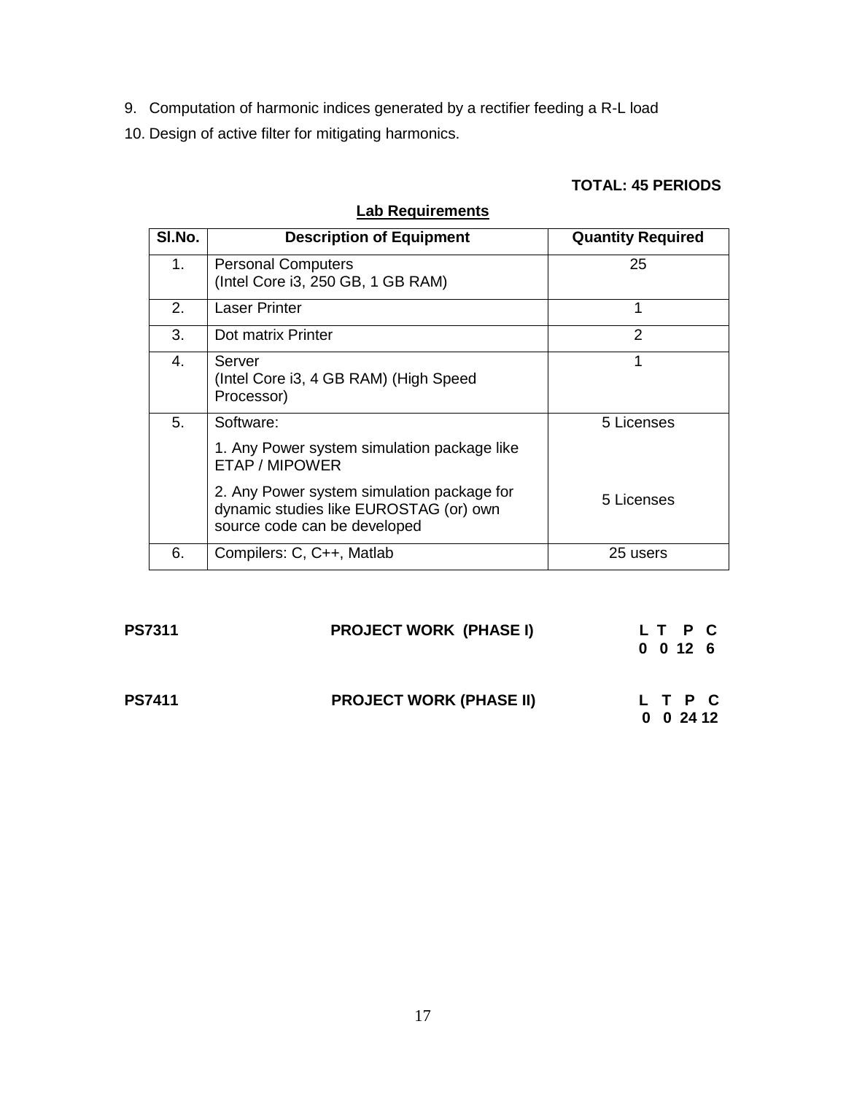- 9. Computation of harmonic indices generated by a rectifier feeding a R-L load
- 10. Design of active filter for mitigating harmonics.

# **TOTAL: 45 PERIODS**

# **Lab Requirements**

| SI.No.  | <b>Description of Equipment</b>                                                                                      | <b>Quantity Required</b> |
|---------|----------------------------------------------------------------------------------------------------------------------|--------------------------|
| $1_{-}$ | <b>Personal Computers</b><br>(Intel Core i3, 250 GB, 1 GB RAM)                                                       | 25                       |
| 2.      | <b>Laser Printer</b>                                                                                                 | 1                        |
| 3.      | Dot matrix Printer                                                                                                   | $\mathcal{P}$            |
| 4.      | Server<br>(Intel Core i3, 4 GB RAM) (High Speed<br>Processor)                                                        | 1                        |
| 5.      | Software:<br>1. Any Power system simulation package like<br>ETAP / MIPOWER                                           | 5 Licenses               |
|         | 2. Any Power system simulation package for<br>dynamic studies like EUROSTAG (or) own<br>source code can be developed | 5 Licenses               |
| 6.      | Compilers: C, C++, Matlab                                                                                            | 25 users                 |

| <b>PS7311</b> | <b>PROJECT WORK (PHASE I)</b>  | 0 0 12 6 | LT P C                       |  |
|---------------|--------------------------------|----------|------------------------------|--|
| <b>PS7411</b> | <b>PROJECT WORK (PHASE II)</b> |          | L T P C<br>$0 \t0 \t24 \t12$ |  |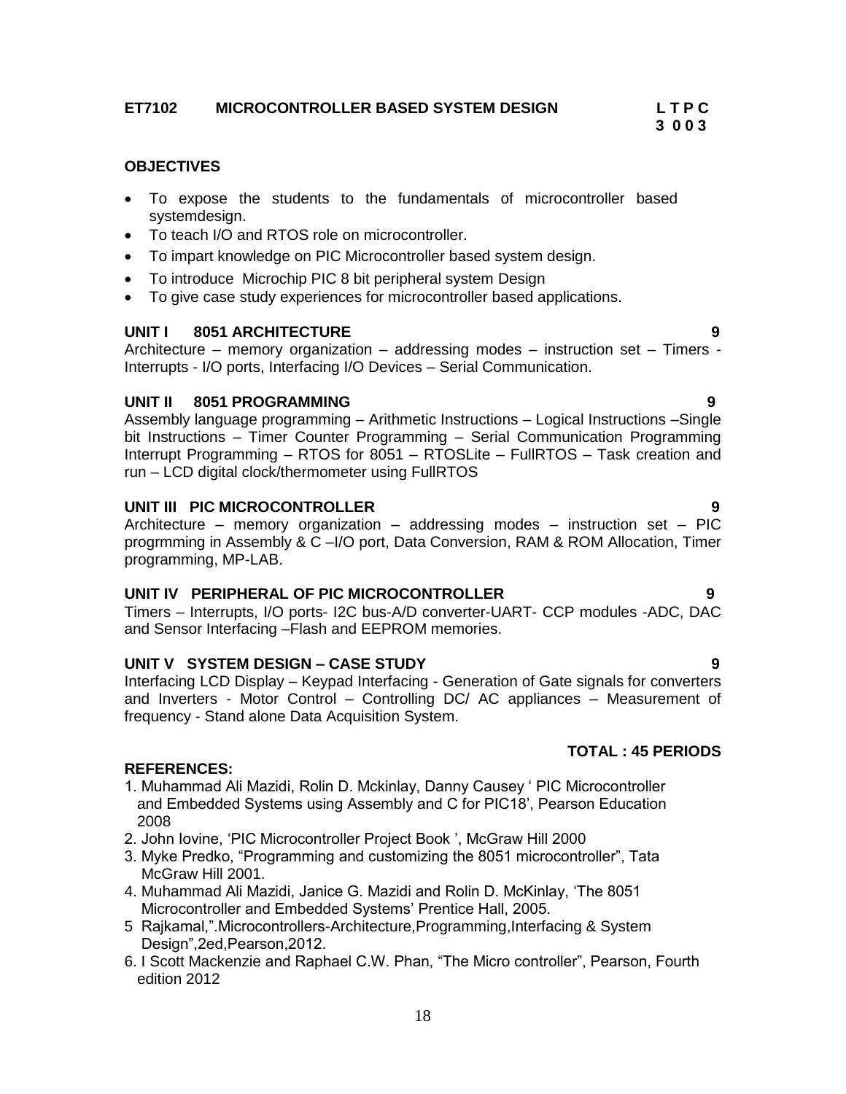### **ET7102 MICROCONTROLLER BASED SYSTEM DESIGN L T P C**

#### **OBJECTIVES**

- To expose the students to the fundamentals of microcontroller based systemdesign.
- To teach I/O and RTOS role on microcontroller.
- To impart knowledge on PIC Microcontroller based system design.
- To introduce Microchip PIC 8 bit peripheral system Design
- To give case study experiences for microcontroller based applications.

#### **UNIT I 8051 ARCHITECTURE 9**

Architecture – memory organization – addressing modes – instruction set – Timers - Interrupts - I/O ports, Interfacing I/O Devices – Serial Communication.

#### **UNIT II 8051 PROGRAMMING 9**

Assembly language programming – Arithmetic Instructions – Logical Instructions –Single bit Instructions – Timer Counter Programming – Serial Communication Programming Interrupt Programming – RTOS for 8051 – RTOSLite – FullRTOS – Task creation and run – LCD digital clock/thermometer using FullRTOS

#### **UNIT III PIC MICROCONTROLLER 9**

Architecture – memory organization – addressing modes – instruction set – PIC progrmming in Assembly & C –I/O port, Data Conversion, RAM & ROM Allocation, Timer programming, MP-LAB.

#### **UNIT IV PERIPHERAL OF PIC MICROCONTROLLER 9**

Timers – Interrupts, I/O ports- I2C bus-A/D converter-UART- CCP modules -ADC, DAC and Sensor Interfacing –Flash and EEPROM memories.

#### **UNIT V SYSTEM DESIGN – CASE STUDY 9**

Interfacing LCD Display – Keypad Interfacing - Generation of Gate signals for converters and Inverters - Motor Control – Controlling DC/ AC appliances – Measurement of frequency - Stand alone Data Acquisition System.

#### **REFERENCES:**

- 1. Muhammad Ali Mazidi, Rolin D. Mckinlay, Danny Causey " PIC Microcontroller and Embedded Systems using Assembly and C for PIC18", Pearson Education 2008
- 2. John Iovine, "PIC Microcontroller Project Book ", McGraw Hill 2000
- 3. Myke Predko, "Programming and customizing the 8051 microcontroller", Tata McGraw Hill 2001.
- 4. Muhammad Ali Mazidi, Janice G. Mazidi and Rolin D. McKinlay, "The 8051 Microcontroller and Embedded Systems" Prentice Hall, 2005.
- 5 Rajkamal,".Microcontrollers-Architecture,Programming,Interfacing & System Design",2ed,Pearson,2012.
- 6. I Scott Mackenzie and Raphael C.W. Phan, "The Micro controller", Pearson, Fourth edition 2012

# **TOTAL : 45 PERIODS**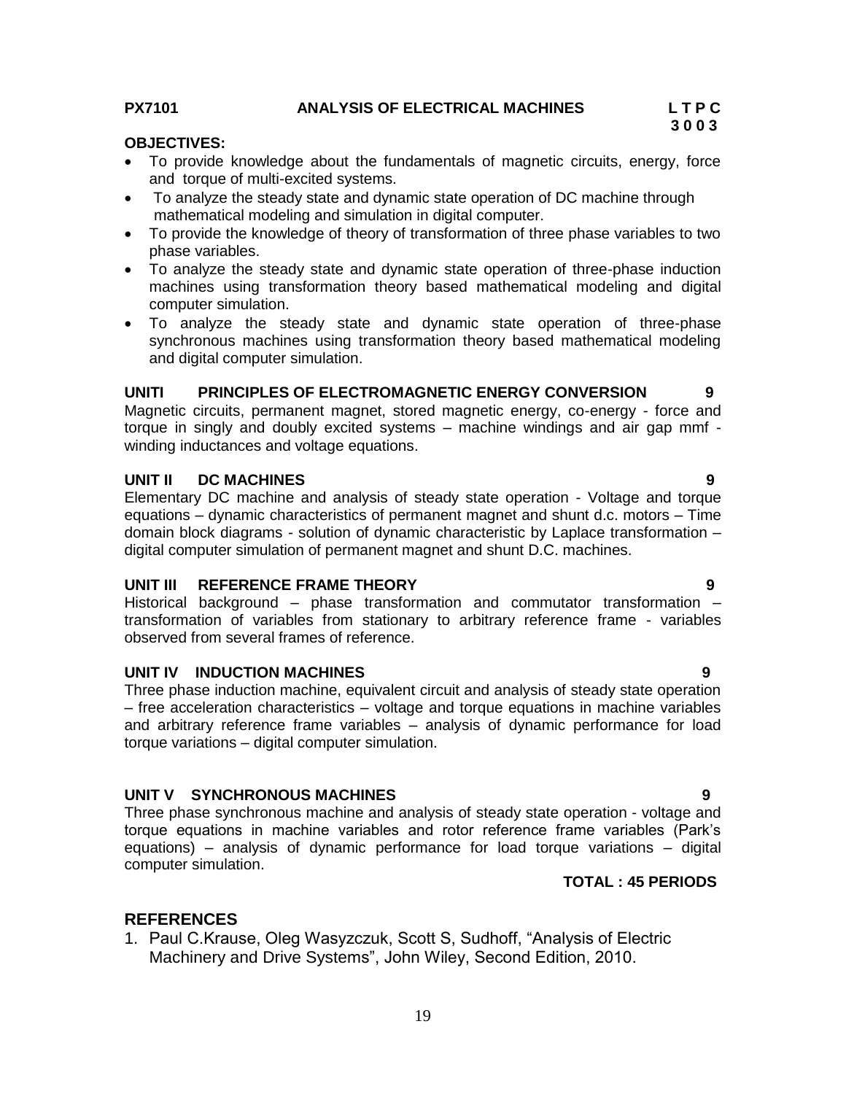**PX7101 ANALYSIS OF ELECTRICAL MACHINES L T P C** 

### **OBJECTIVES:**

- To provide knowledge about the fundamentals of magnetic circuits, energy, force and torque of multi-excited systems.
- To analyze the steady state and dynamic state operation of DC machine through mathematical modeling and simulation in digital computer.
- To provide the knowledge of theory of transformation of three phase variables to two phase variables.
- To analyze the steady state and dynamic state operation of three-phase induction machines using transformation theory based mathematical modeling and digital computer simulation.
- To analyze the steady state and dynamic state operation of three-phase synchronous machines using transformation theory based mathematical modeling and digital computer simulation.

#### **UNITI PRINCIPLES OF ELECTROMAGNETIC ENERGY CONVERSION 9**

Magnetic circuits, permanent magnet, stored magnetic energy, co-energy - force and torque in singly and doubly excited systems – machine windings and air gap mmf winding inductances and voltage equations.

#### **UNIT II DC MACHINES 9**

Elementary DC machine and analysis of steady state operation - Voltage and torque equations – dynamic characteristics of permanent magnet and shunt d.c. motors – Time domain block diagrams - solution of dynamic characteristic by Laplace transformation – digital computer simulation of permanent magnet and shunt D.C. machines.

#### **UNIT III REFERENCE FRAME THEORY 9**

Historical background – phase transformation and commutator transformation – transformation of variables from stationary to arbitrary reference frame - variables observed from several frames of reference.

#### **UNIT IV INDUCTION MACHINES 9**

Three phase induction machine, equivalent circuit and analysis of steady state operation – free acceleration characteristics – voltage and torque equations in machine variables and arbitrary reference frame variables – analysis of dynamic performance for load torque variations – digital computer simulation.

#### **UNIT V SYNCHRONOUS MACHINES 9**

Three phase synchronous machine and analysis of steady state operation - voltage and torque equations in machine variables and rotor reference frame variables (Park"s equations) – analysis of dynamic performance for load torque variations – digital computer simulation.

#### **TOTAL : 45 PERIODS**

### **REFERENCES**

1. Paul C.Krause, Oleg Wasyzczuk, Scott S, Sudhoff, "Analysis of Electric Machinery and Drive Systems", John Wiley, Second Edition, 2010.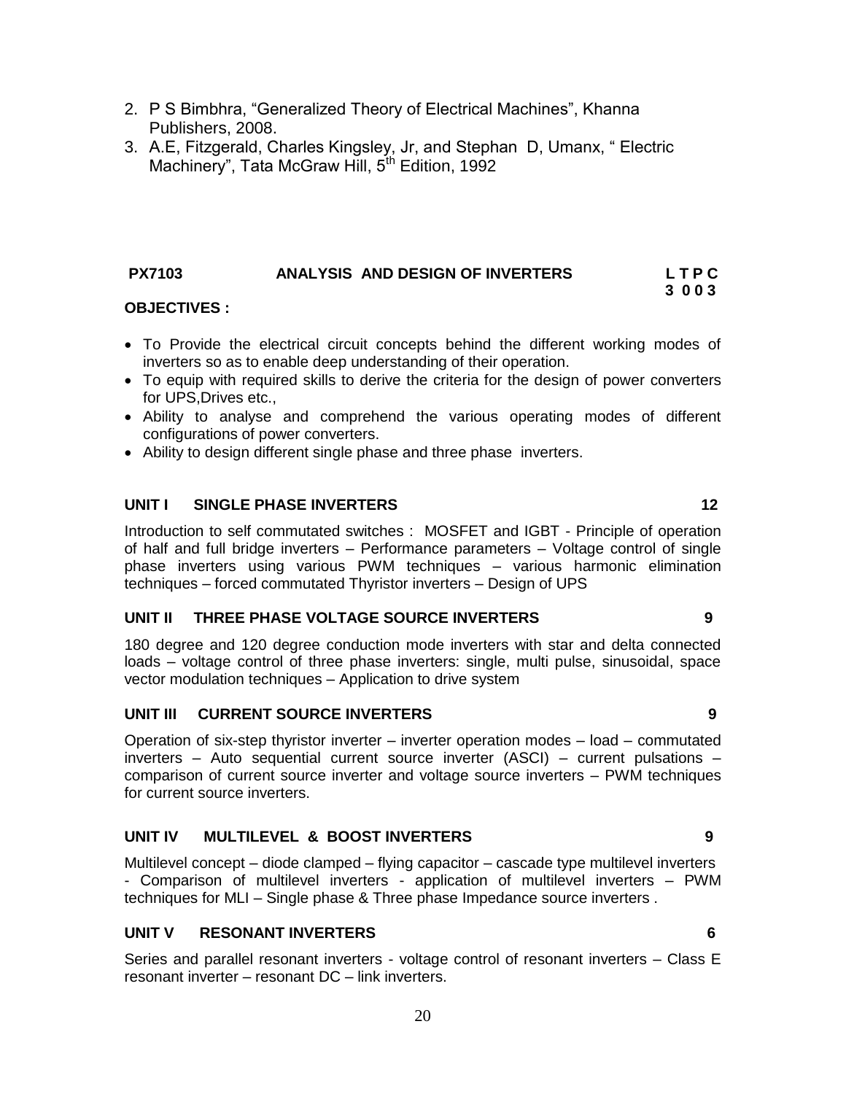- 2. P S Bimbhra, "Generalized Theory of Electrical Machines", Khanna Publishers, 2008.
- 3. A.E, Fitzgerald, Charles Kingsley, Jr, and Stephan D, Umanx, " Electric Machinery", Tata McGraw Hill, 5<sup>th</sup> Edition, 1992

#### **PX7103 ANALYSIS AND DESIGN OF INVERTERS L T P C 3 0 0 3**

#### **OBJECTIVES :**

- To Provide the electrical circuit concepts behind the different working modes of inverters so as to enable deep understanding of their operation.
- To equip with required skills to derive the criteria for the design of power converters for UPS,Drives etc.,
- Ability to analyse and comprehend the various operating modes of different configurations of power converters.
- Ability to design different single phase and three phase inverters.

#### **UNIT I SINGLE PHASE INVERTERS 12**

Introduction to self commutated switches : MOSFET and IGBT - Principle of operation of half and full bridge inverters – Performance parameters – Voltage control of single phase inverters using various PWM techniques – various harmonic elimination techniques – forced commutated Thyristor inverters – Design of UPS

#### **UNIT II THREE PHASE VOLTAGE SOURCE INVERTERS 9**

180 degree and 120 degree conduction mode inverters with star and delta connected loads – voltage control of three phase inverters: single, multi pulse, sinusoidal, space vector modulation techniques – Application to drive system

#### **UNIT III CURRENT SOURCE INVERTERS 9**

Operation of six-step thyristor inverter – inverter operation modes – load – commutated inverters – Auto sequential current source inverter (ASCI) – current pulsations – comparison of current source inverter and voltage source inverters – PWM techniques for current source inverters.

#### **UNIT IV MULTILEVEL & BOOST INVERTERS 9**

Multilevel concept – diode clamped – flying capacitor – cascade type multilevel inverters - Comparison of multilevel inverters - application of multilevel inverters – PWM techniques for MLI – Single phase & Three phase Impedance source inverters .

#### **UNIT V RESONANT INVERTERS 6**

Series and parallel resonant inverters - voltage control of resonant inverters – Class E resonant inverter – resonant DC – link inverters.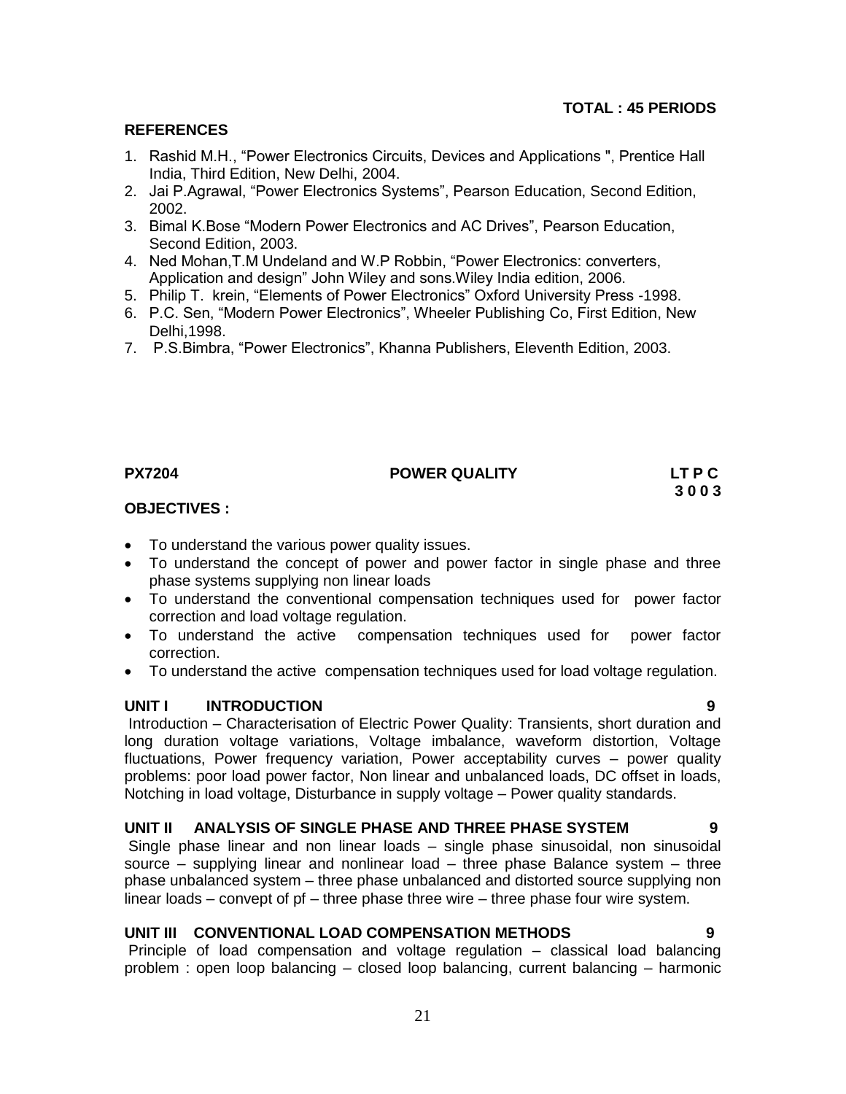### **REFERENCES**

- 1. Rashid M.H., "Power Electronics Circuits, Devices and Applications ", Prentice Hall India, Third Edition, New Delhi, 2004.
- 2. Jai P.Agrawal, "Power Electronics Systems", Pearson Education, Second Edition, 2002.
- 3. Bimal K.Bose "Modern Power Electronics and AC Drives", Pearson Education, Second Edition, 2003.
- 4. Ned Mohan,T.M Undeland and W.P Robbin, "Power Electronics: converters, Application and design" John Wiley and sons.Wiley India edition, 2006.
- 5. Philip T. krein, "Elements of Power Electronics" Oxford University Press -1998.
- 6. P.C. Sen, "Modern Power Electronics", Wheeler Publishing Co, First Edition, New Delhi,1998.
- 7. P.S.Bimbra, "Power Electronics", Khanna Publishers, Eleventh Edition, 2003.

### **PX7204 POWER QUALITY LT P C**

# **3 0 0 3**

#### **OBJECTIVES :**

- To understand the various power quality issues.
- To understand the concept of power and power factor in single phase and three phase systems supplying non linear loads
- To understand the conventional compensation techniques used for power factor correction and load voltage regulation.
- To understand the active compensation techniques used for power factor correction.
- To understand the active compensation techniques used for load voltage regulation.

#### **UNIT I INTRODUCTION 9**

Introduction – Characterisation of Electric Power Quality: Transients, short duration and long duration voltage variations, Voltage imbalance, waveform distortion, Voltage fluctuations, Power frequency variation, Power acceptability curves – power quality problems: poor load power factor, Non linear and unbalanced loads, DC offset in loads, Notching in load voltage, Disturbance in supply voltage – Power quality standards.

### **UNIT II ANALYSIS OF SINGLE PHASE AND THREE PHASE SYSTEM 9**

Single phase linear and non linear loads – single phase sinusoidal, non sinusoidal source – supplying linear and nonlinear load – three phase Balance system – three phase unbalanced system – three phase unbalanced and distorted source supplying non linear loads – convept of pf – three phase three wire – three phase four wire system.

#### **UNIT III CONVENTIONAL LOAD COMPENSATION METHODS 9**

Principle of load compensation and voltage regulation – classical load balancing problem : open loop balancing – closed loop balancing, current balancing – harmonic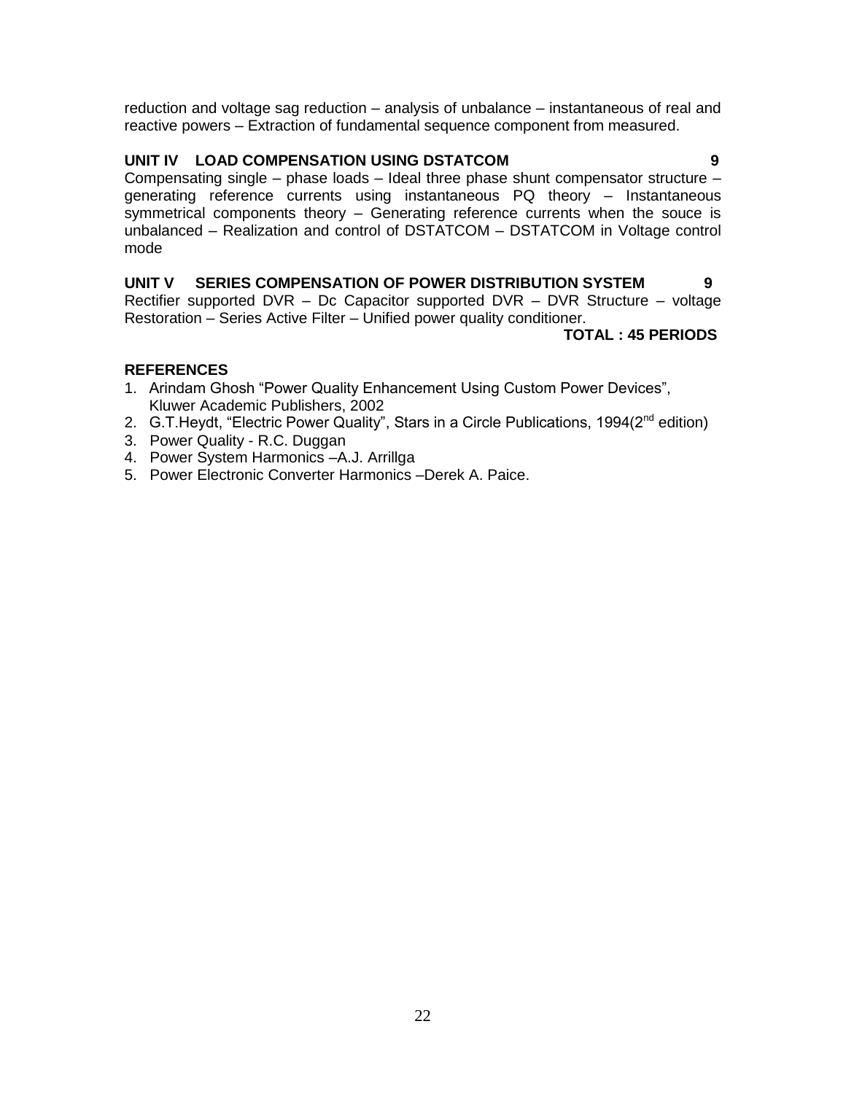reduction and voltage sag reduction – analysis of unbalance – instantaneous of real and reactive powers – Extraction of fundamental sequence component from measured.

#### **UNIT IV LOAD COMPENSATION USING DSTATCOM 9**

Compensating single – phase loads – Ideal three phase shunt compensator structure – generating reference currents using instantaneous PQ theory – Instantaneous symmetrical components theory – Generating reference currents when the souce is unbalanced – Realization and control of DSTATCOM – DSTATCOM in Voltage control mode

**UNIT V SERIES COMPENSATION OF POWER DISTRIBUTION SYSTEM 9** Rectifier supported DVR – Dc Capacitor supported DVR – DVR Structure – voltage Restoration – Series Active Filter – Unified power quality conditioner.

**TOTAL : 45 PERIODS**

### **REFERENCES**

- 1. Arindam Ghosh "Power Quality Enhancement Using Custom Power Devices", Kluwer Academic Publishers, 2002
- 2. G.T. Heydt, "Electric Power Quality", Stars in a Circle Publications, 1994(2<sup>nd</sup> edition)
- 3. Power Quality R.C. Duggan
- 4. Power System Harmonics –A.J. Arrillga
- 5. Power Electronic Converter Harmonics –Derek A. Paice.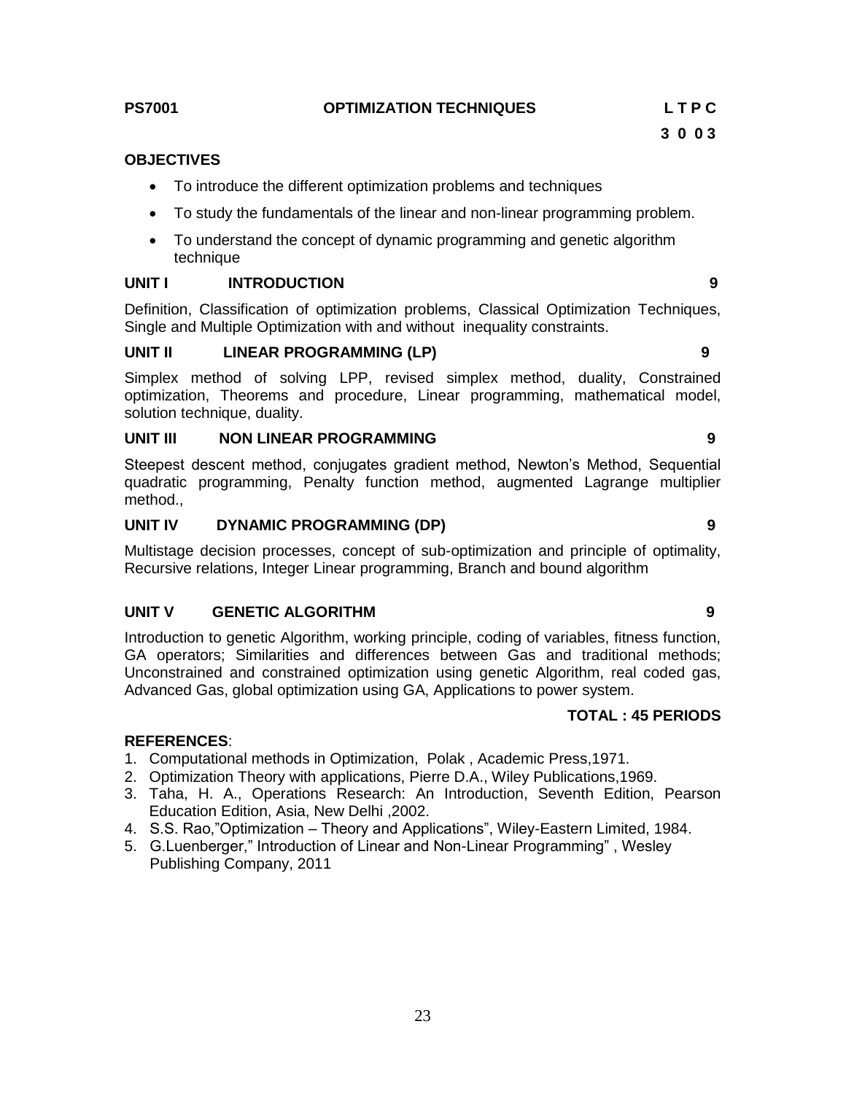#### **PS7001 OPTIMIZATION TECHNIQUES L T P C**

#### **OBJECTIVES**

- To introduce the different optimization problems and techniques
- To study the fundamentals of the linear and non-linear programming problem.
- To understand the concept of dynamic programming and genetic algorithm technique

#### **UNIT I INTRODUCTION 9**

Definition, Classification of optimization problems, Classical Optimization Techniques, Single and Multiple Optimization with and without inequality constraints.

#### **UNIT II LINEAR PROGRAMMING (LP) 9**

Simplex method of solving LPP, revised simplex method, duality, Constrained optimization, Theorems and procedure, Linear programming, mathematical model, solution technique, duality.

#### **UNIT III NON LINEAR PROGRAMMING 9**

Steepest descent method, conjugates gradient method, Newton"s Method, Sequential quadratic programming, Penalty function method, augmented Lagrange multiplier method.,

#### **UNIT IV DYNAMIC PROGRAMMING (DP) 9**

Multistage decision processes, concept of sub-optimization and principle of optimality, Recursive relations, Integer Linear programming, Branch and bound algorithm

#### **UNIT V GENETIC ALGORITHM 9**

Introduction to genetic Algorithm, working principle, coding of variables, fitness function, GA operators; Similarities and differences between Gas and traditional methods; Unconstrained and constrained optimization using genetic Algorithm, real coded gas, Advanced Gas, global optimization using GA, Applications to power system.

#### **TOTAL : 45 PERIODS**

#### **REFERENCES**:

- 1. Computational methods in Optimization, Polak , Academic Press,1971.
- 2. Optimization Theory with applications, Pierre D.A., Wiley Publications,1969.
- 3. Taha, H. A., Operations Research: An Introduction, Seventh Edition, Pearson Education Edition, Asia, New Delhi ,2002.
- 4. S.S. Rao,"Optimization Theory and Applications", Wiley-Eastern Limited, 1984.
- 5. G.Luenberger," Introduction of Linear and Non-Linear Programming" , Wesley Publishing Company, 2011

 **3 0 0 3**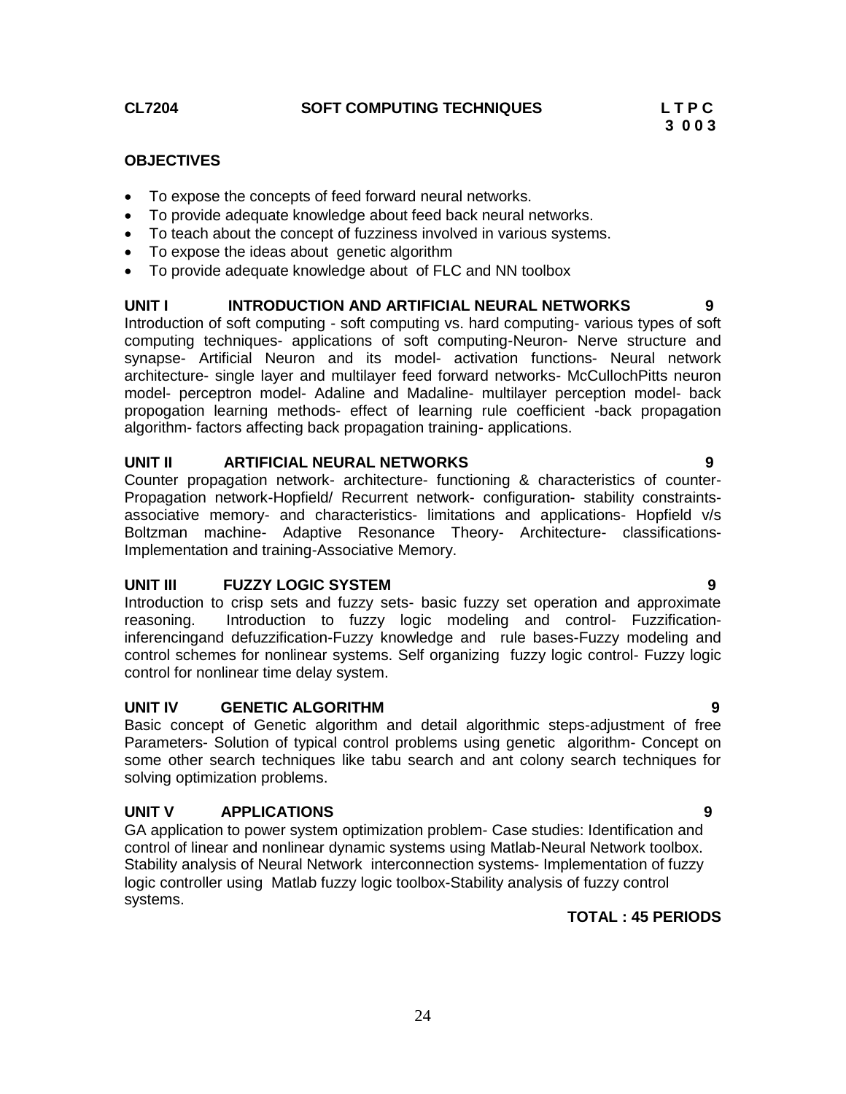#### **CL7204 SOFT COMPUTING TECHNIQUES L T P C**

### **OBJECTIVES**

- To expose the concepts of feed forward neural networks.
- To provide adequate knowledge about feed back neural networks.
- To teach about the concept of fuzziness involved in various systems.
- To expose the ideas about genetic algorithm
- To provide adequate knowledge about of FLC and NN toolbox

#### **UNIT I INTRODUCTION AND ARTIFICIAL NEURAL NETWORKS 9**

Introduction of soft computing - soft computing vs. hard computing- various types of soft computing techniques- applications of soft computing-Neuron- Nerve structure and synapse- Artificial Neuron and its model- activation functions- Neural network architecture- single layer and multilayer feed forward networks- McCullochPitts neuron model- perceptron model- Adaline and Madaline- multilayer perception model- back propogation learning methods- effect of learning rule coefficient -back propagation algorithm- factors affecting back propagation training- applications.

#### **UNIT II ARTIFICIAL NEURAL NETWORKS 9**

Counter propagation network- architecture- functioning & characteristics of counter-Propagation network-Hopfield/ Recurrent network- configuration- stability constraintsassociative memory- and characteristics- limitations and applications- Hopfield v/s Boltzman machine- Adaptive Resonance Theory- Architecture- classifications-Implementation and training-Associative Memory.

#### **UNIT III FUZZY LOGIC SYSTEM 9**

Introduction to crisp sets and fuzzy sets- basic fuzzy set operation and approximate reasoning. Introduction to fuzzy logic modeling and control- Fuzzificationinferencingand defuzzification-Fuzzy knowledge and rule bases-Fuzzy modeling and control schemes for nonlinear systems. Self organizing fuzzy logic control- Fuzzy logic control for nonlinear time delay system.

#### **UNIT IV GENETIC ALGORITHM 9**

Basic concept of Genetic algorithm and detail algorithmic steps-adjustment of free Parameters- Solution of typical control problems using genetic algorithm- Concept on some other search techniques like tabu search and ant colony search techniques for solving optimization problems.

#### **UNIT V APPLICATIONS 9**

GA application to power system optimization problem- Case studies: Identification and control of linear and nonlinear dynamic systems using Matlab-Neural Network toolbox. Stability analysis of Neural Network interconnection systems- Implementation of fuzzy logic controller using Matlab fuzzy logic toolbox-Stability analysis of fuzzy control systems.

#### **TOTAL : 45 PERIODS**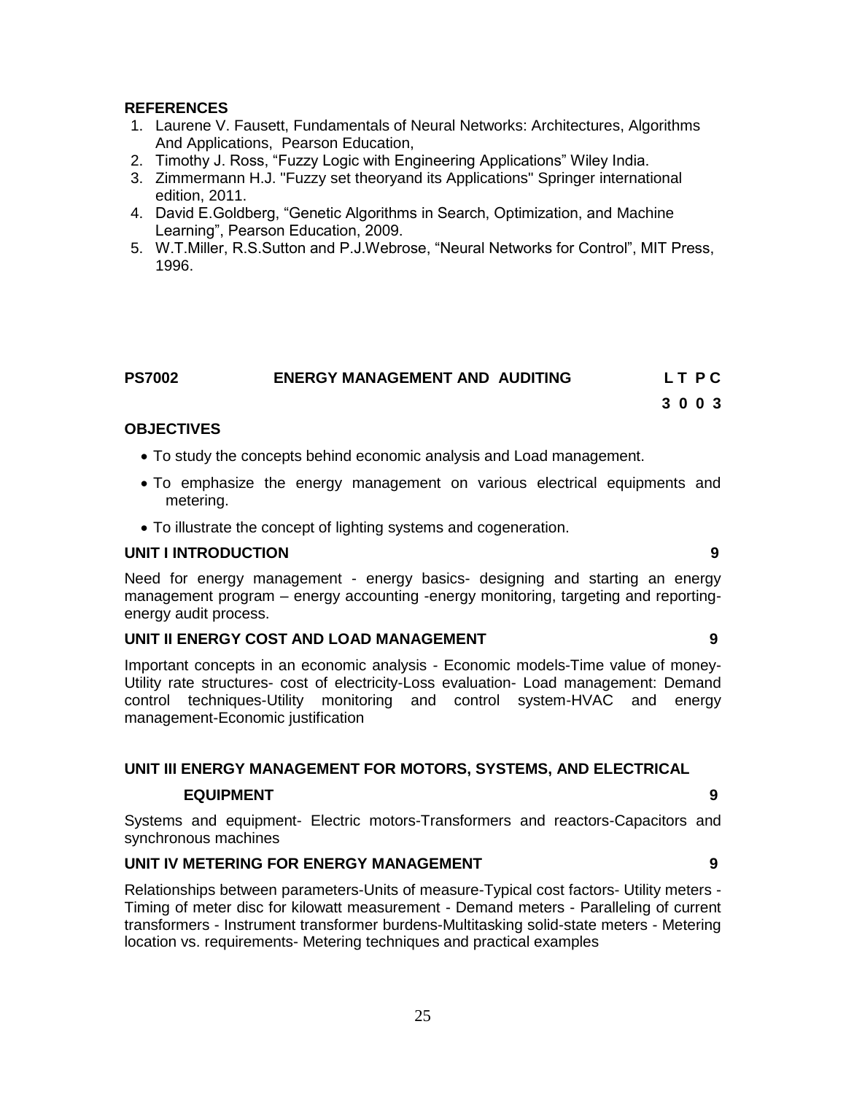#### **REFERENCES**

- 1. Laurene V. Fausett, Fundamentals of Neural Networks: Architectures, Algorithms And Applications, Pearson Education,
- 2. Timothy J. Ross, "Fuzzy Logic with Engineering Applications" Wiley India.
- 3. Zimmermann H.J. "Fuzzy set theoryand its Applications" Springer international edition, 2011.
- 4. David E.Goldberg, "Genetic Algorithms in Search, Optimization, and Machine Learning", Pearson Education, 2009.
- 5. W.T.Miller, R.S.Sutton and P.J.Webrose, "Neural Networks for Control", MIT Press, 1996.

| <b>PS7002</b> | <b>ENERGY MANAGEMENT AND AUDITING</b> | LT PC |
|---------------|---------------------------------------|-------|
|               |                                       |       |

#### **3 0 0 3**

#### **OBJECTIVES**

- To study the concepts behind economic analysis and Load management.
- To emphasize the energy management on various electrical equipments and metering.
- To illustrate the concept of lighting systems and cogeneration.

#### **UNIT I INTRODUCTION 9**

Need for energy management - energy basics- designing and starting an energy management program – energy accounting -energy monitoring, targeting and reportingenergy audit process.

#### **UNIT II ENERGY COST AND LOAD MANAGEMENT 9**

Important concepts in an economic analysis - Economic models-Time value of money-Utility rate structures- cost of electricity-Loss evaluation- Load management: Demand control techniques-Utility monitoring and control system-HVAC and energy management-Economic justification

#### **UNIT III ENERGY MANAGEMENT FOR MOTORS, SYSTEMS, AND ELECTRICAL**

#### **EQUIPMENT** 9

Systems and equipment- Electric motors-Transformers and reactors-Capacitors and synchronous machines

#### **UNIT IV METERING FOR ENERGY MANAGEMENT 9**

Relationships between parameters-Units of measure-Typical cost factors- Utility meters - Timing of meter disc for kilowatt measurement - Demand meters - Paralleling of current transformers - Instrument transformer burdens-Multitasking solid-state meters - Metering location vs. requirements- Metering techniques and practical examples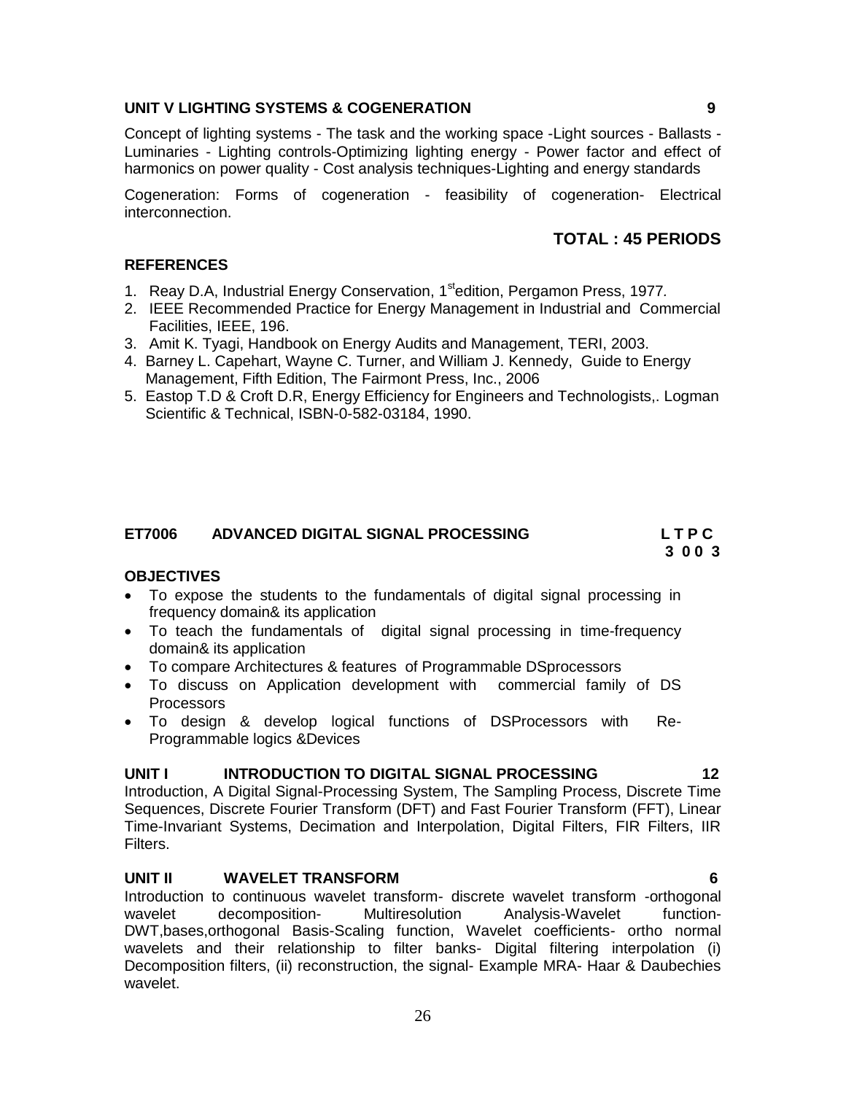#### **UNIT V LIGHTING SYSTEMS & COGENERATION 9**

Concept of lighting systems - The task and the working space -Light sources - Ballasts - Luminaries - Lighting controls-Optimizing lighting energy - Power factor and effect of harmonics on power quality - Cost analysis techniques-Lighting and energy standards

Cogeneration: Forms of cogeneration - feasibility of cogeneration- Electrical interconnection.

#### **TOTAL : 45 PERIODS**

#### **REFERENCES**

- 1. Reay D.A, Industrial Energy Conservation, 1stedition, Pergamon Press, 1977*.*
- 2. IEEE Recommended Practice for Energy Management in Industrial and Commercial Facilities, IEEE, 196.
- 3. Amit K. Tyagi, Handbook on Energy Audits and Management, TERI, 2003.
- 4. Barney L. Capehart, Wayne C. Turner, and William J. Kennedy, Guide to Energy Management, Fifth Edition, The Fairmont Press, Inc., 2006
- 5. Eastop T.D & Croft D.R, Energy Efficiency for Engineers and Technologists,. Logman Scientific & Technical, ISBN-0-582-03184, 1990.

#### **ET7006 ADVANCED DIGITAL SIGNAL PROCESSING L T P C**

### **OBJECTIVES**

 To expose the students to the fundamentals of digital signal processing in frequency domain& its application

 **3 0 0 3**

- To teach the fundamentals of digital signal processing in time-frequency domain& its application
- To compare Architectures & features of Programmable DSprocessors
- To discuss on Application development with commercial family of DS **Processors**
- To design & develop logical functions of DSProcessors with Re-Programmable logics &Devices

#### **UNIT I INTRODUCTION TO DIGITAL SIGNAL PROCESSING 12**

Introduction, A Digital Signal-Processing System, The Sampling Process, Discrete Time Sequences, Discrete Fourier Transform (DFT) and Fast Fourier Transform (FFT), Linear Time-Invariant Systems, Decimation and Interpolation, Digital Filters, FIR Filters, IIR Filters.

#### **UNIT II WAVELET TRANSFORM 6**

Introduction to continuous wavelet transform- discrete wavelet transform -orthogonal wavelet decomposition- Multiresolution Analysis-Wavelet function-DWT,bases,orthogonal Basis-Scaling function, Wavelet coefficients- ortho normal wavelets and their relationship to filter banks- Digital filtering interpolation (i) Decomposition filters, (ii) reconstruction, the signal- Example MRA- Haar & Daubechies wavelet.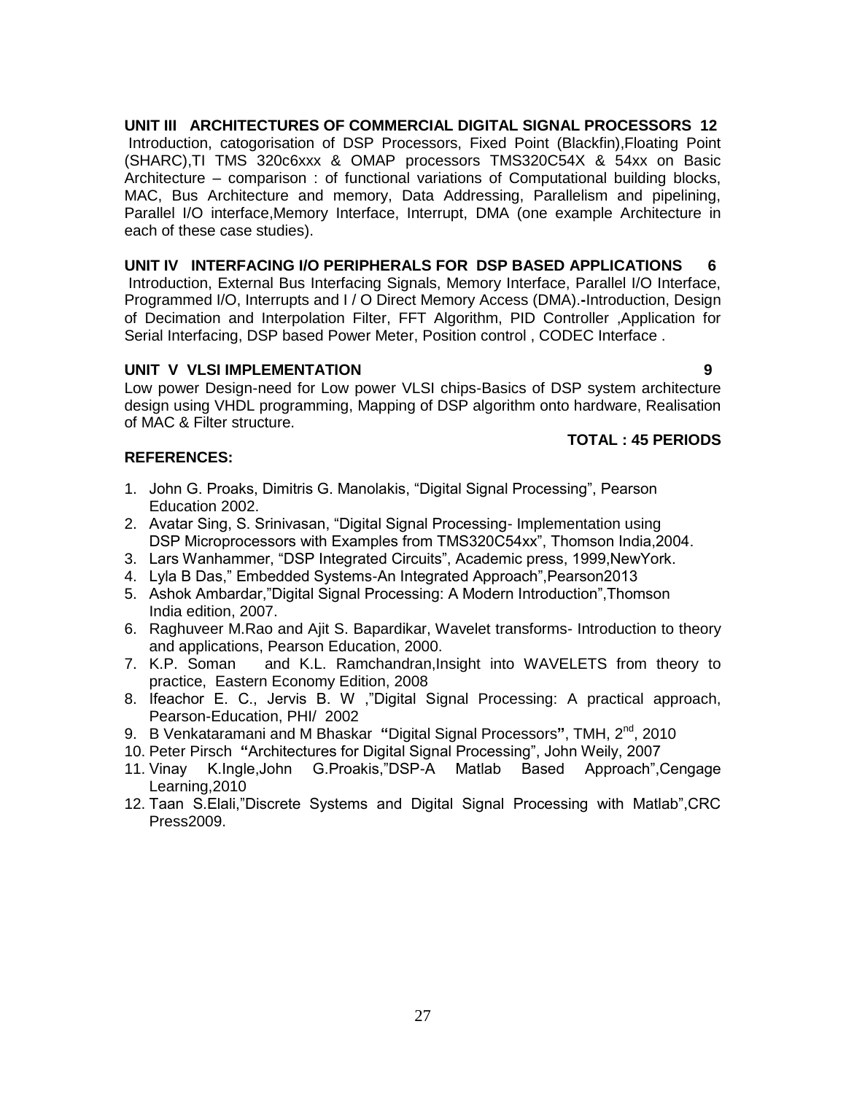### **UNIT III ARCHITECTURES OF COMMERCIAL DIGITAL SIGNAL PROCESSORS 12**

Introduction, catogorisation of DSP Processors, Fixed Point (Blackfin),Floating Point (SHARC),TI TMS 320c6xxx & OMAP processors TMS320C54X & 54xx on Basic Architecture – comparison : of functional variations of Computational building blocks, MAC, Bus Architecture and memory, Data Addressing, Parallelism and pipelining, Parallel I/O interface,Memory Interface, Interrupt, DMA (one example Architecture in each of these case studies).

#### **UNIT IV INTERFACING I/O PERIPHERALS FOR DSP BASED APPLICATIONS 6**

Introduction, External Bus Interfacing Signals, Memory Interface, Parallel I/O Interface, Programmed I/O, Interrupts and I / O Direct Memory Access (DMA).**-**Introduction, Design of Decimation and Interpolation Filter, FFT Algorithm, PID Controller ,Application for Serial Interfacing, DSP based Power Meter, Position control , CODEC Interface .

#### **UNIT V VLSI IMPLEMENTATION** 9

Low power Design-need for Low power VLSI chips-Basics of DSP system architecture design using VHDL programming, Mapping of DSP algorithm onto hardware, Realisation of MAC & Filter structure.

#### **REFERENCES:**

### **TOTAL : 45 PERIODS**

- 1. John G. Proaks, Dimitris G. Manolakis, "Digital Signal Processing", Pearson Education 2002.
- 2. Avatar Sing, S. Srinivasan, "Digital Signal Processing- Implementation using DSP Microprocessors with Examples from TMS320C54xx", Thomson India,2004.
- 3. Lars Wanhammer, "DSP Integrated Circuits", Academic press, 1999,NewYork.
- 4. Lyla B Das," Embedded Systems-An Integrated Approach",Pearson2013
- 5. Ashok Ambardar,"Digital Signal Processing: A Modern Introduction",Thomson India edition, 2007.
- 6. Raghuveer M.Rao and Ajit S. Bapardikar, Wavelet transforms- Introduction to theory and applications, Pearson Education, 2000.
- 7. K.P. Soman and K.L. Ramchandran,Insight into WAVELETS from theory to practice, Eastern Economy Edition, 2008
- 8. Ifeachor E. C., Jervis B. W ,"Digital Signal Processing: A practical approach, Pearson-Education, PHI/ 2002
- 9. B Venkataramani and M Bhaskar **"**Digital Signal Processors**"**, TMH, 2nd, 2010
- 10. Peter Pirsch **"**Architectures for Digital Signal Processing", John Weily, 2007
- 11. Vinay K.Ingle,John G.Proakis,"DSP-A Matlab Based Approach",Cengage Learning,2010
- 12. Taan S.Elali,"Discrete Systems and Digital Signal Processing with Matlab",CRC Press2009.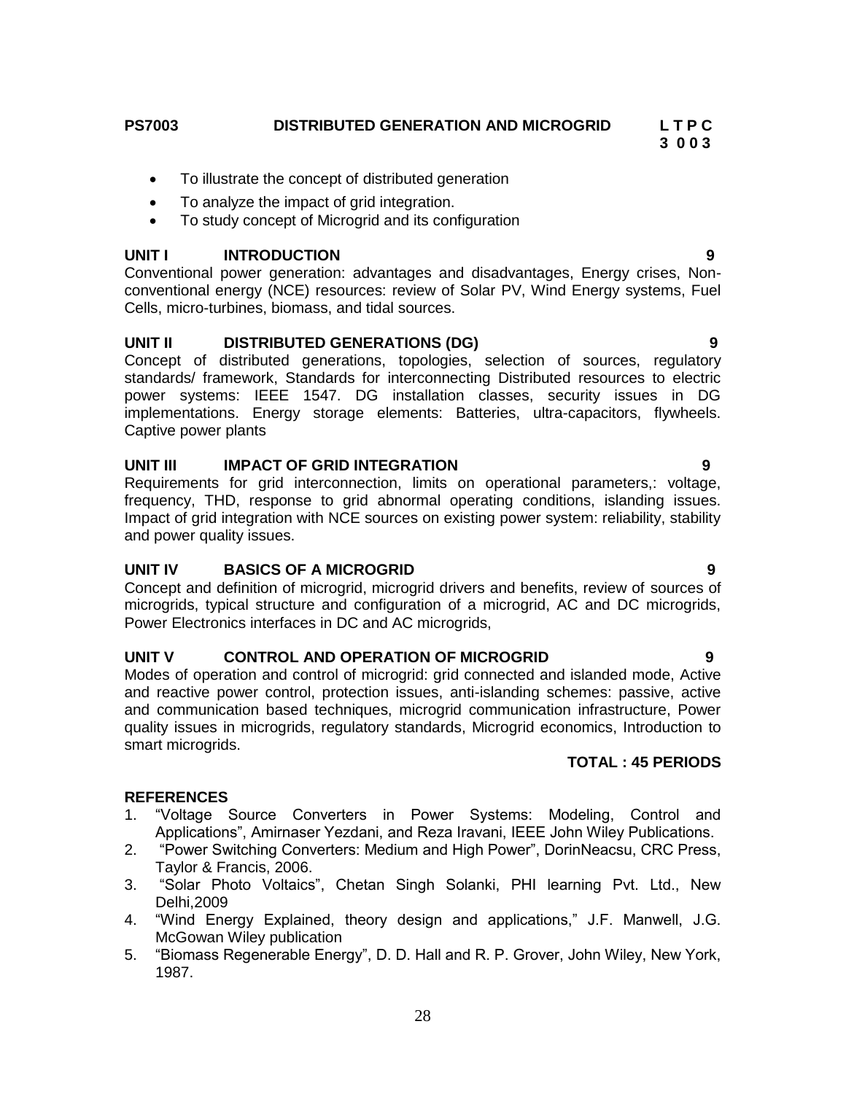**PS7003 DISTRIBUTED GENERATION AND MICROGRID L T P C**

 **3 0 0 3**

- To illustrate the concept of distributed generation
- To analyze the impact of grid integration.
- To study concept of Microgrid and its configuration

#### **UNIT I INTRODUCTION 9**

Conventional power generation: advantages and disadvantages, Energy crises, Nonconventional energy (NCE) resources: review of Solar PV, Wind Energy systems, Fuel Cells, micro-turbines, biomass, and tidal sources.

### **UNIT II DISTRIBUTED GENERATIONS (DG) 9**

Concept of distributed generations, topologies, selection of sources, regulatory standards/ framework, Standards for interconnecting Distributed resources to electric power systems: IEEE 1547. DG installation classes, security issues in DG implementations. Energy storage elements: Batteries, ultra-capacitors, flywheels. Captive power plants

#### **UNIT III IMPACT OF GRID INTEGRATION 9**

Requirements for grid interconnection, limits on operational parameters,: voltage, frequency, THD, response to grid abnormal operating conditions, islanding issues. Impact of grid integration with NCE sources on existing power system: reliability, stability and power quality issues.

#### **UNIT IV BASICS OF A MICROGRID 9**

Concept and definition of microgrid, microgrid drivers and benefits, review of sources of microgrids, typical structure and configuration of a microgrid, AC and DC microgrids, Power Electronics interfaces in DC and AC microgrids,

### **UNIT V CONTROL AND OPERATION OF MICROGRID 9**

Modes of operation and control of microgrid: grid connected and islanded mode, Active and reactive power control, protection issues, anti-islanding schemes: passive, active and communication based techniques, microgrid communication infrastructure, Power quality issues in microgrids, regulatory standards, Microgrid economics, Introduction to smart microgrids.

#### **TOTAL : 45 PERIODS**

### **REFERENCES**

- 1. "Voltage Source Converters in Power Systems: Modeling, Control and Applications", Amirnaser Yezdani, and Reza Iravani, IEEE John Wiley Publications.
- 2. "Power Switching Converters: Medium and High Power", DorinNeacsu, CRC Press, Taylor & Francis, 2006.
- 3. "Solar Photo Voltaics", Chetan Singh Solanki, PHI learning Pvt. Ltd., New Delhi,2009
- 4. "Wind Energy Explained, theory design and applications," J.F. Manwell, J.G. McGowan Wiley publication
- 5. "Biomass Regenerable Energy", D. D. Hall and R. P. Grover, John Wiley, New York, 1987.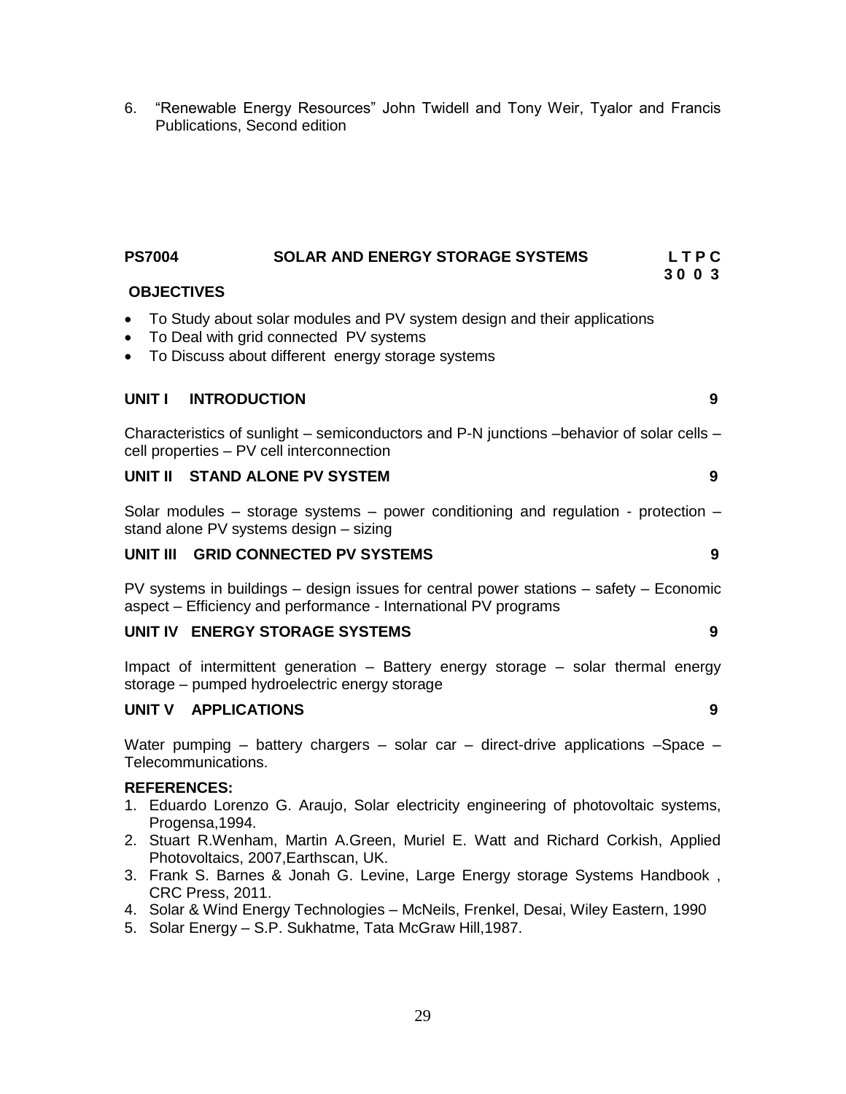6. "Renewable Energy Resources" John Twidell and Tony Weir, Tyalor and Francis Publications, Second edition

#### **PS7004 SOLAR AND ENERGY STORAGE SYSTEMS L T P C 3 0 0 3**

#### **OBJECTIVES**

- To Study about solar modules and PV system design and their applications
- To Deal with grid connected PV systems
- To Discuss about different energy storage systems

#### **UNIT I INTRODUCTION 9**

Characteristics of sunlight – semiconductors and P-N junctions –behavior of solar cells – cell properties – PV cell interconnection

#### **UNIT II STAND ALONE PV SYSTEM 9**

Solar modules – storage systems – power conditioning and regulation - protection – stand alone PV systems design – sizing

#### **UNIT III GRID CONNECTED PV SYSTEMS 9**

PV systems in buildings – design issues for central power stations – safety – Economic aspect – Efficiency and performance - International PV programs

### **UNIT IV ENERGY STORAGE SYSTEMS 9**

Impact of intermittent generation – Battery energy storage – solar thermal energy storage – pumped hydroelectric energy storage

### **UNIT V APPLICATIONS 9**

Water pumping – battery chargers – solar car – direct-drive applications –Space – Telecommunications.

#### **REFERENCES:**

- 1. [Eduardo Lorenzo](http://booklens.com/eduardo-lorenzo/) [G. Araujo,](http://booklens.com/g-araujo/) Solar electricity engineering of photovoltaic systems, Progensa,1994.
- 2. Stuart R.Wenham, Martin A.Green, Muriel E. Watt and Richard Corkish, Applied Photovoltaics, 2007,Earthscan, UK.
- 3. Frank S. Barnes & Jonah G. Levine, Large Energy storage Systems Handbook , CRC Press, 2011.
- 4. Solar & Wind Energy Technologies McNeils, Frenkel, Desai, Wiley Eastern, 1990
- 5. Solar Energy S.P. Sukhatme, Tata McGraw Hill,1987.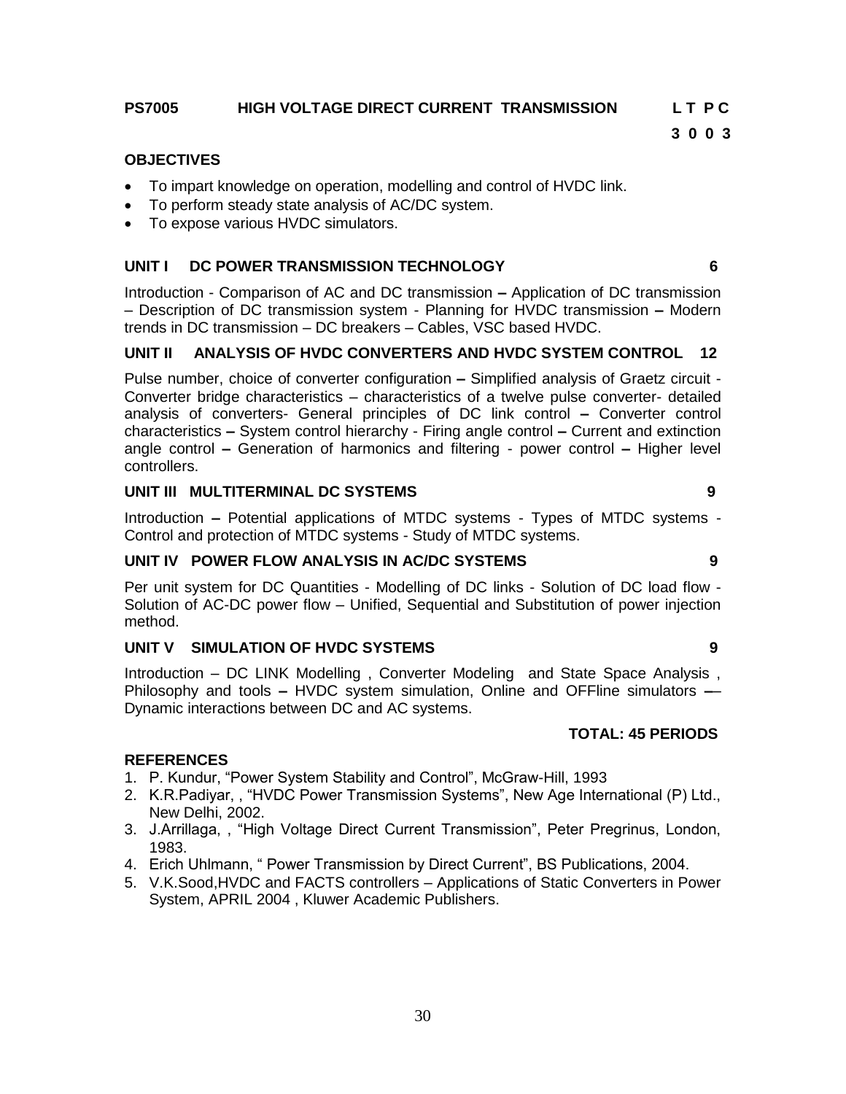### **PS7005 HIGH VOLTAGE DIRECT CURRENT TRANSMISSION L T P C**

**3 0 0 3**

#### **OBJECTIVES**

- To impart knowledge on operation, modelling and control of HVDC link.
- To perform steady state analysis of AC/DC system.
- To expose various HVDC simulators.

#### **UNIT I DC POWER TRANSMISSION TECHNOLOGY 6**

Introduction - Comparison of AC and DC transmission **–** Application of DC transmission – Description of DC transmission system - Planning for HVDC transmission **–** Modern trends in DC transmission – DC breakers – Cables, VSC based HVDC.

#### **UNIT II ANALYSIS OF HVDC CONVERTERS AND HVDC SYSTEM CONTROL 12**

Pulse number, choice of converter configuration **–** Simplified analysis of Graetz circuit - Converter bridge characteristics – characteristics of a twelve pulse converter- detailed analysis of converters- General principles of DC link control **–** Converter control characteristics **–** System control hierarchy - Firing angle control **–** Current and extinction angle control **–** Generation of harmonics and filtering - power control **–** Higher level controllers.

#### **UNIT III MULTITERMINAL DC SYSTEMS 9**

Introduction **–** Potential applications of MTDC systems - Types of MTDC systems - Control and protection of MTDC systems - Study of MTDC systems.

#### **UNIT IV POWER FLOW ANALYSIS IN AC/DC SYSTEMS 9**

Per unit system for DC Quantities - Modelling of DC links - Solution of DC load flow - Solution of AC-DC power flow – Unified, Sequential and Substitution of power injection method.

#### **UNIT V SIMULATION OF HVDC SYSTEMS 9**

Introduction – DC LINK Modelling , Converter Modeling and State Space Analysis , Philosophy and tools **–** HVDC system simulation, Online and OFFline simulators **–**– Dynamic interactions between DC and AC systems.

#### **TOTAL: 45 PERIODS**

#### **REFERENCES**

- 1. P. Kundur, "Power System Stability and Control", McGraw-Hill, 1993
- 2. K.R.Padiyar, , "HVDC Power Transmission Systems", New Age International (P) Ltd., New Delhi, 2002.
- 3. J.Arrillaga, , "High Voltage Direct Current Transmission", Peter Pregrinus, London, 1983.
- 4. Erich Uhlmann, " Power Transmission by Direct Current", BS Publications, 2004.
- 5. V.K.Sood,HVDC and FACTS controllers Applications of Static Converters in Power System, APRIL 2004 , Kluwer Academic Publishers.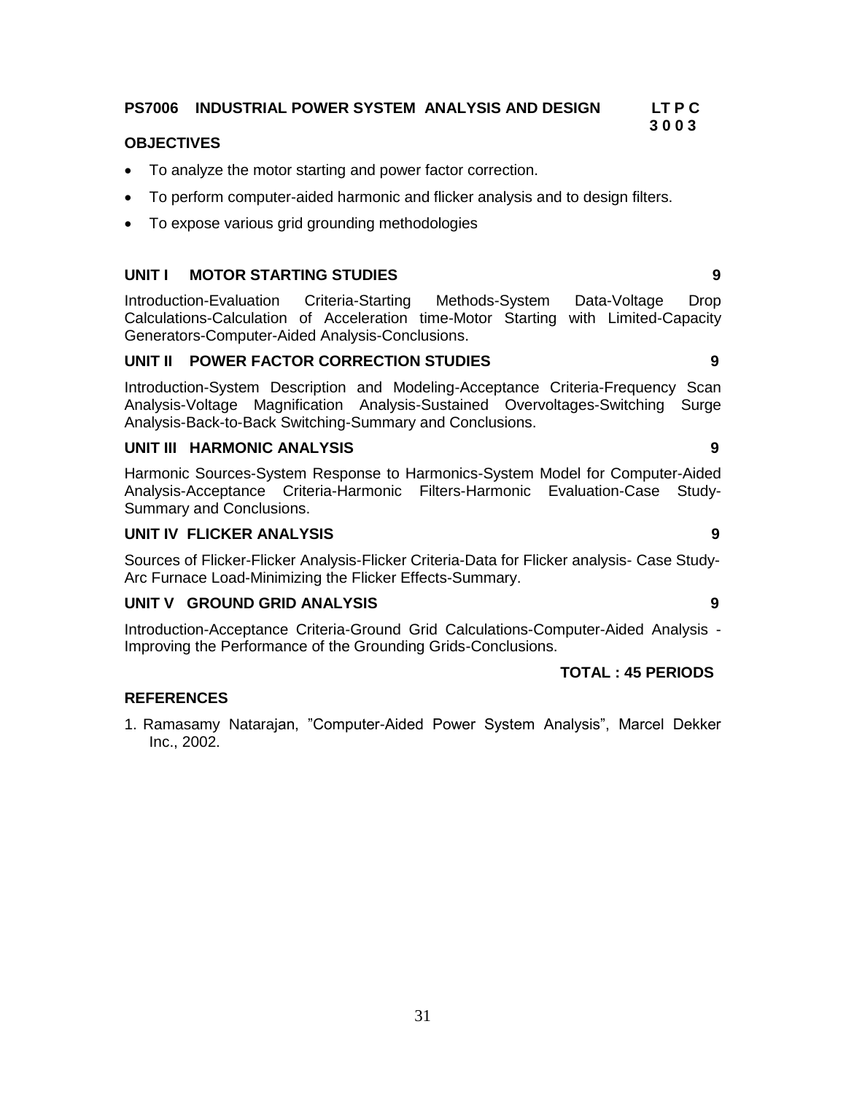# **PS7006 INDUSTRIAL POWER SYSTEM ANALYSIS AND DESIGN LT P C**

#### **OBJECTIVES**

- To analyze the motor starting and power factor correction.
- To perform computer-aided harmonic and flicker analysis and to design filters.
- To expose various grid grounding methodologies

#### **UNIT I MOTOR STARTING STUDIES 9**

Introduction-Evaluation Criteria-Starting Methods-System Data-Voltage Drop Calculations-Calculation of Acceleration time-Motor Starting with Limited-Capacity Generators-Computer-Aided Analysis-Conclusions.

#### **UNIT II POWER FACTOR CORRECTION STUDIES 9**

Introduction-System Description and Modeling-Acceptance Criteria-Frequency Scan Analysis-Voltage Magnification Analysis-Sustained Overvoltages-Switching Surge Analysis-Back-to-Back Switching-Summary and Conclusions.

#### **UNIT III HARMONIC ANALYSIS 9**

Harmonic Sources-System Response to Harmonics-System Model for Computer-Aided Analysis-Acceptance Criteria-Harmonic Filters-Harmonic Evaluation-Case Study-Summary and Conclusions.

#### **UNIT IV FLICKER ANALYSIS 9**

Sources of Flicker-Flicker Analysis-Flicker Criteria-Data for Flicker analysis- Case Study-Arc Furnace Load-Minimizing the Flicker Effects-Summary.

#### **UNIT V GROUND GRID ANALYSIS 9**

Introduction-Acceptance Criteria-Ground Grid Calculations-Computer-Aided Analysis - Improving the Performance of the Grounding Grids-Conclusions.

### **TOTAL : 45 PERIODS**

#### **REFERENCES**

1. Ramasamy Natarajan, "Computer-Aided Power System Analysis", Marcel Dekker Inc., 2002.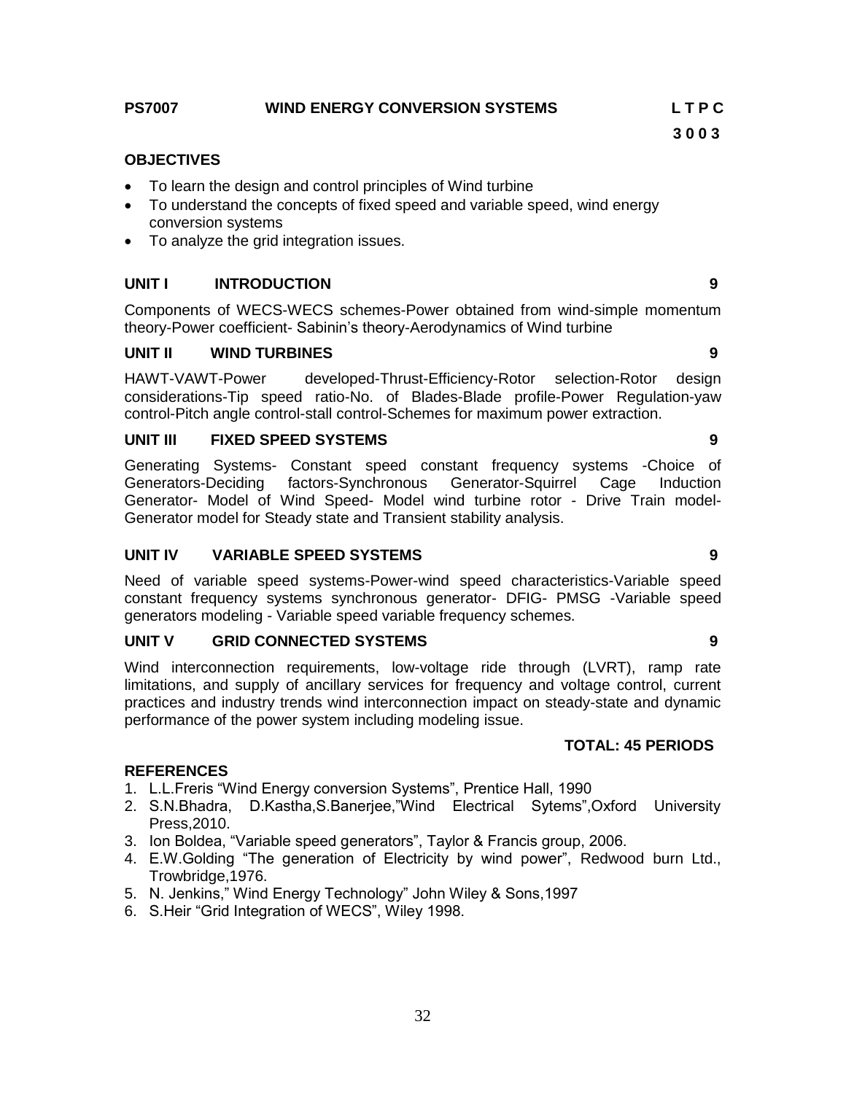#### **PS7007 WIND ENERGY CONVERSION SYSTEMS L T P C**

#### **OBJECTIVES**

- To learn the design and control principles of Wind turbine
- To understand the concepts of fixed speed and variable speed, wind energy conversion systems
- To analyze the grid integration issues.

#### **UNIT I INTRODUCTION 9**

Components of WECS-WECS schemes-Power obtained from wind-simple momentum theory-Power coefficient- Sabinin"s theory-Aerodynamics of Wind turbine

#### **UNIT II WIND TURBINES 9**

HAWT-VAWT-Power developed-Thrust-Efficiency-Rotor selection-Rotor design considerations-Tip speed ratio-No. of Blades-Blade profile-Power Regulation-yaw control-Pitch angle control-stall control-Schemes for maximum power extraction.

#### **UNIT III FIXED SPEED SYSTEMS 9**

Generating Systems- Constant speed constant frequency systems -Choice of Generators-Deciding factors-Synchronous Generator-Squirrel Cage Induction Generator- Model of Wind Speed- Model wind turbine rotor - Drive Train model-Generator model for Steady state and Transient stability analysis.

#### **UNIT IV VARIABLE SPEED SYSTEMS 9**

Need of variable speed systems-Power-wind speed characteristics-Variable speed constant frequency systems synchronous generator- DFIG- PMSG -Variable speed generators modeling - Variable speed variable frequency schemes.

#### **UNIT V GRID CONNECTED SYSTEMS 9**

Wind interconnection requirements, low-voltage ride through (LVRT), ramp rate limitations, and supply of ancillary services for frequency and voltage control, current practices and industry trends wind interconnection impact on steady-state and dynamic performance of the power system including modeling issue.

#### **TOTAL: 45 PERIODS**

#### **REFERENCES**

- 1. L.L.Freris "Wind Energy conversion Systems", Prentice Hall, 1990
- 2. S.N.Bhadra, D.Kastha,S.Banerjee,"Wind Electrical Sytems",Oxford University Press,2010.
- 3. Ion Boldea, "Variable speed generators", Taylor & Francis group, 2006.
- 4. E.W.Golding "The generation of Electricity by wind power", Redwood burn Ltd., Trowbridge,1976.
- 5. N. Jenkins," Wind Energy Technology" John Wiley & Sons,1997
- 6. S.Heir "Grid Integration of WECS", Wiley 1998.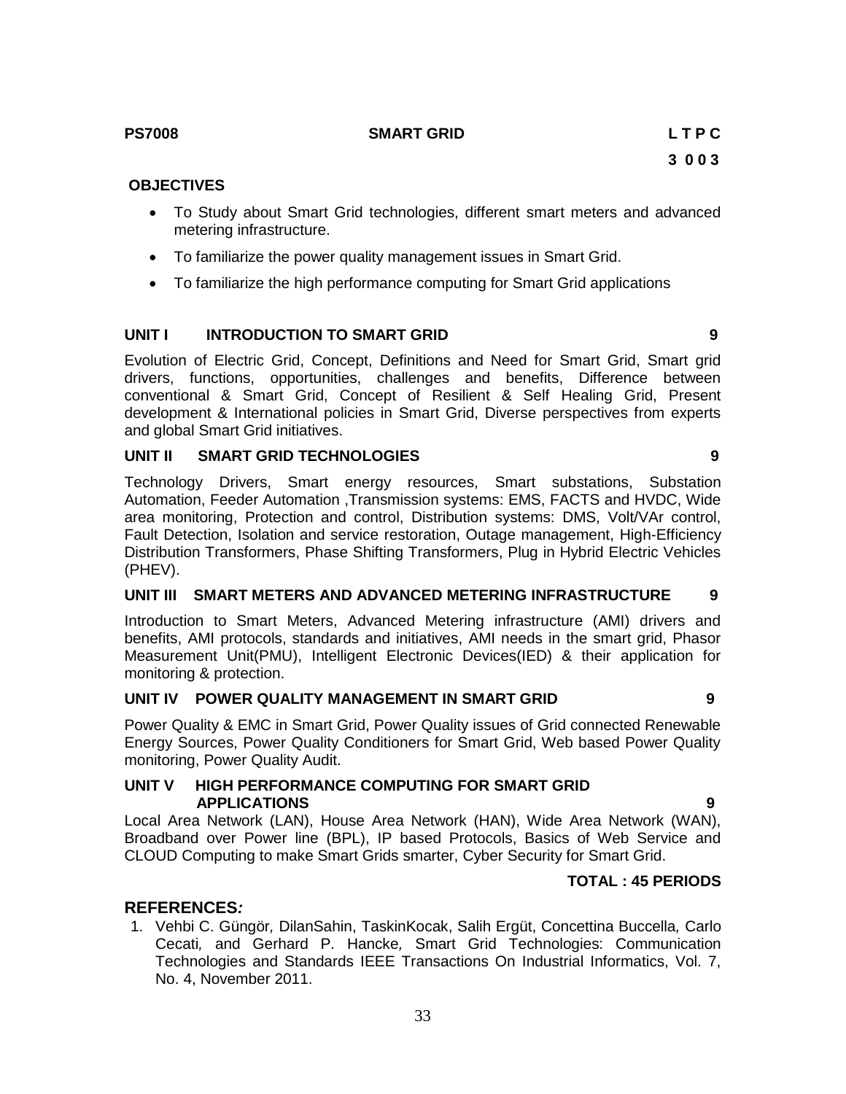### **PS7008 SMART GRID L T P C**

#### **OBJECTIVES**

- To Study about Smart Grid technologies, different smart meters and advanced metering infrastructure.
- To familiarize the power quality management issues in Smart Grid.
- To familiarize the high performance computing for Smart Grid applications

#### **UNIT I INTRODUCTION TO SMART GRID 9**

Evolution of Electric Grid, Concept, Definitions and Need for Smart Grid, Smart grid drivers, functions, opportunities, challenges and benefits, Difference between conventional & Smart Grid, Concept of Resilient & Self Healing Grid, Present development & International policies in Smart Grid, Diverse perspectives from experts and global Smart Grid initiatives.

#### **UNIT II SMART GRID TECHNOLOGIES 9**

Technology Drivers, Smart energy resources, Smart substations, Substation Automation, Feeder Automation ,Transmission systems: EMS, FACTS and HVDC, Wide area monitoring, Protection and control, Distribution systems: DMS, Volt/VAr control, Fault Detection, Isolation and service restoration, Outage management, High-Efficiency Distribution Transformers, Phase Shifting Transformers, Plug in Hybrid Electric Vehicles (PHEV).

#### **UNIT III SMART METERS AND ADVANCED METERING INFRASTRUCTURE 9**

Introduction to Smart Meters, Advanced Metering infrastructure (AMI) drivers and benefits, AMI protocols, standards and initiatives, AMI needs in the smart grid, Phasor Measurement Unit(PMU), Intelligent Electronic Devices(IED) & their application for monitoring & protection.

#### **UNIT IV POWER QUALITY MANAGEMENT IN SMART GRID 9**

Power Quality & EMC in Smart Grid, Power Quality issues of Grid connected Renewable Energy Sources, Power Quality Conditioners for Smart Grid, Web based Power Quality monitoring, Power Quality Audit.

#### **UNIT V HIGH PERFORMANCE COMPUTING FOR SMART GRID APPLICATIONS 9**

Local Area Network (LAN), House Area Network (HAN), Wide Area Network (WAN), Broadband over Power line (BPL), IP based Protocols, Basics of Web Service and CLOUD Computing to make Smart Grids smarter, Cyber Security for Smart Grid.

### **TOTAL : 45 PERIODS**

#### **REFERENCES***:*

1. Vehbi C. Güngör*,* DilanSahin, TaskinKocak, Salih Ergüt, Concettina Buccella*,* Carlo Cecati*,* and Gerhard P. Hancke*,* Smart Grid Technologies: Communication Technologies and Standards IEEE Transactions On Industrial Informatics, Vol. 7, No. 4, November 2011.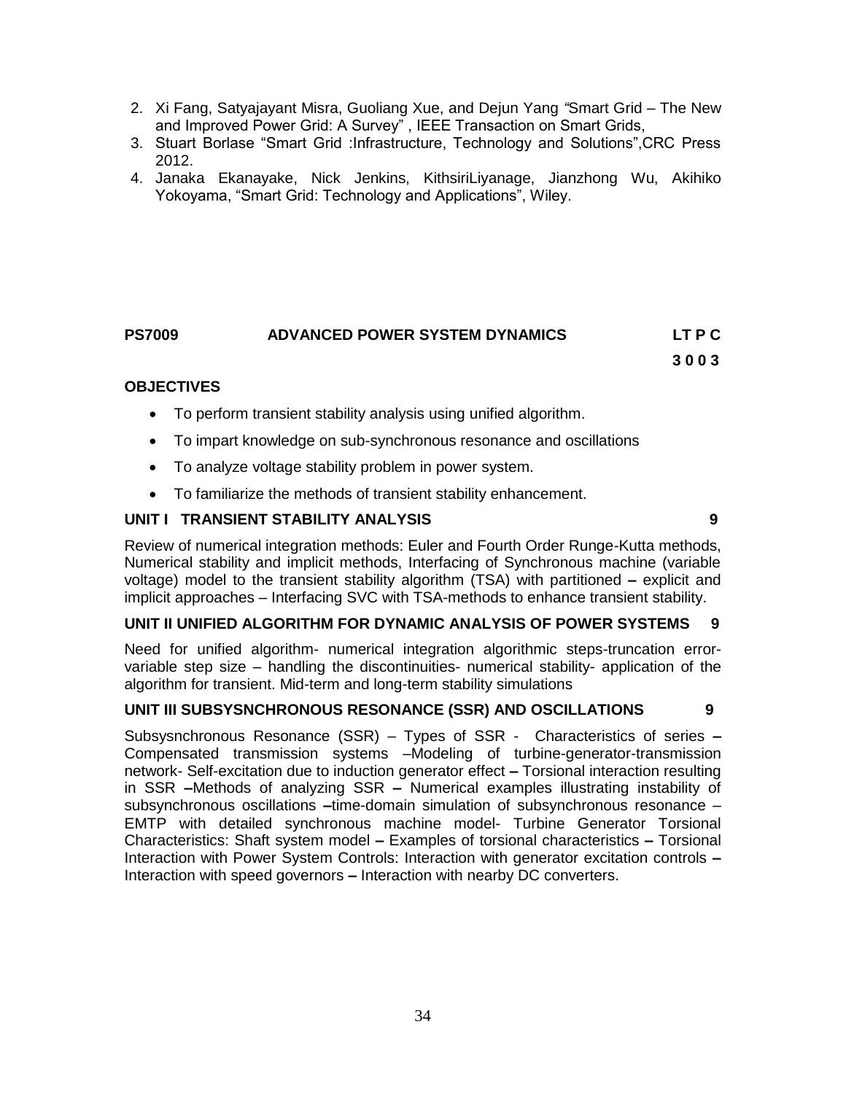- 2. Xi Fang, Satyajayant Misra, Guoliang Xue, and Dejun Yang *"*Smart Grid The New and Improved Power Grid: A Survey" , IEEE Transaction on Smart Grids,
- 3. Stuart Borlase "Smart Grid :Infrastructure, Technology and Solutions",CRC Press 2012.
- 4. Janaka Ekanayake, Nick Jenkins, KithsiriLiyanage, Jianzhong Wu, Akihiko Yokoyama, "Smart Grid: Technology and Applications", Wiley.

# **PS7009 ADVANCED POWER SYSTEM DYNAMICS LT P C**

 **3 0 0 3**

### **OBJECTIVES**

- To perform transient stability analysis using unified algorithm.
- To impart knowledge on sub-synchronous resonance and oscillations
- To analyze voltage stability problem in power system.
- To familiarize the methods of transient stability enhancement.

### **UNIT I TRANSIENT STABILITY ANALYSIS 9**

Review of numerical integration methods: Euler and Fourth Order Runge-Kutta methods, Numerical stability and implicit methods, Interfacing of Synchronous machine (variable voltage) model to the transient stability algorithm (TSA) with partitioned **–** explicit and implicit approaches – Interfacing SVC with TSA-methods to enhance transient stability.

#### **UNIT II UNIFIED ALGORITHM FOR DYNAMIC ANALYSIS OF POWER SYSTEMS 9**

Need for unified algorithm- numerical integration algorithmic steps-truncation errorvariable step size – handling the discontinuities- numerical stability- application of the algorithm for transient. Mid-term and long-term stability simulations

#### **UNIT III SUBSYSNCHRONOUS RESONANCE (SSR) AND OSCILLATIONS 9**

Subsysnchronous Resonance (SSR) – Types of SSR - Characteristics of series **–** Compensated transmission systems –Modeling of turbine-generator-transmission network- Self-excitation due to induction generator effect **–** Torsional interaction resulting in SSR **–**Methods of analyzing SSR **–** Numerical examples illustrating instability of subsynchronous oscillations **–**time-domain simulation of subsynchronous resonance – EMTP with detailed synchronous machine model- Turbine Generator Torsional Characteristics: Shaft system model **–** Examples of torsional characteristics **–** Torsional Interaction with Power System Controls: Interaction with generator excitation controls **–** Interaction with speed governors **–** Interaction with nearby DC converters.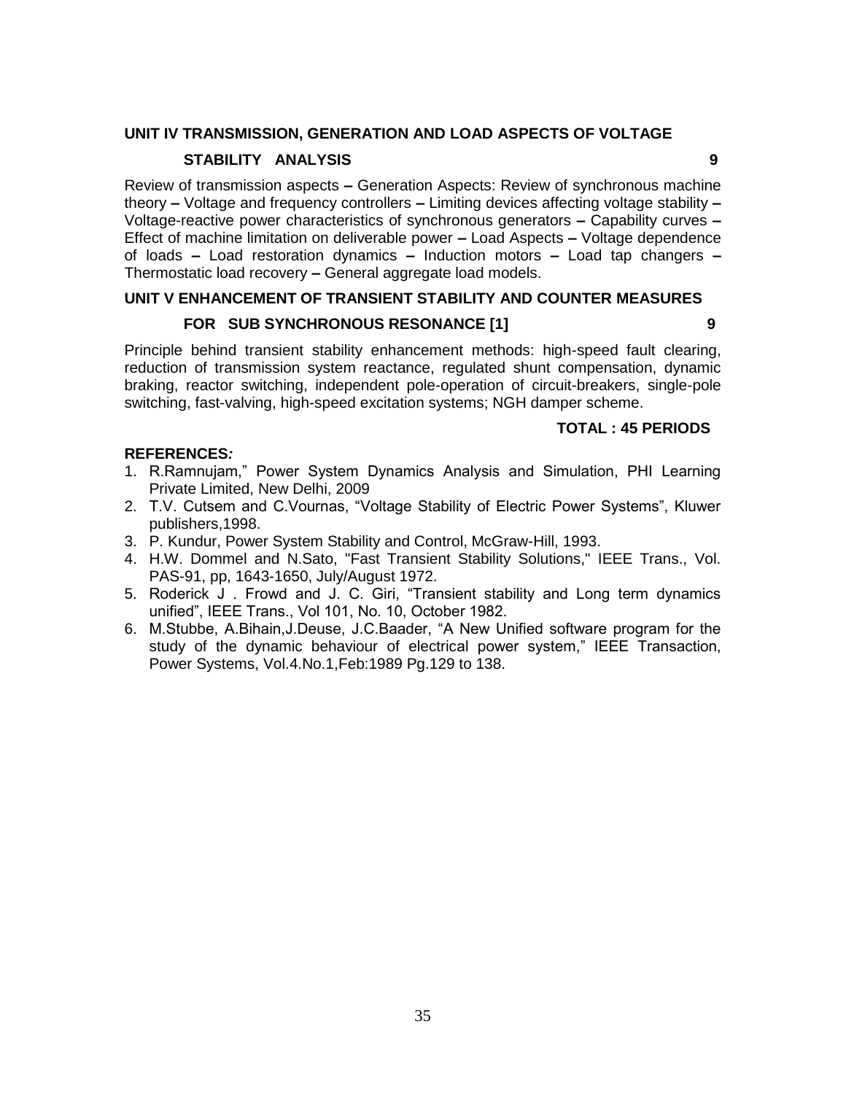#### **UNIT IV TRANSMISSION, GENERATION AND LOAD ASPECTS OF VOLTAGE**

### **STABILITY ANALYSIS 9**

Review of transmission aspects **–** Generation Aspects: Review of synchronous machine theory **–** Voltage and frequency controllers **–** Limiting devices affecting voltage stability **–** Voltage-reactive power characteristics of synchronous generators **–** Capability curves **–** Effect of machine limitation on deliverable power **–** Load Aspects **–** Voltage dependence of loads **–** Load restoration dynamics **–** Induction motors **–** Load tap changers **–** Thermostatic load recovery **–** General aggregate load models.

### **UNIT V ENHANCEMENT OF TRANSIENT STABILITY AND COUNTER MEASURES**

### **FOR SUB SYNCHRONOUS RESONANCE [1] 9**

Principle behind transient stability enhancement methods: high-speed fault clearing, reduction of transmission system reactance, regulated shunt compensation, dynamic braking, reactor switching, independent pole-operation of circuit-breakers, single-pole switching, fast-valving, high-speed excitation systems; NGH damper scheme.

#### **TOTAL : 45 PERIODS**

#### **REFERENCES***:*

- 1. R.Ramnujam," Power System Dynamics Analysis and Simulation, PHI Learning Private Limited, New Delhi, 2009
- 2. T.V. Cutsem and C.Vournas, "Voltage Stability of Electric Power Systems", Kluwer publishers,1998.
- 3. P. Kundur, Power System Stability and Control, McGraw-Hill, 1993.
- 4. H.W. Dommel and N.Sato, "Fast Transient Stability Solutions," IEEE Trans., Vol. PAS-91, pp, 1643-1650, July/August 1972.
- 5. Roderick J . Frowd and J. C. Giri, "Transient stability and Long term dynamics unified", IEEE Trans., Vol 101, No. 10, October 1982.
- 6. M.Stubbe, A.Bihain,J.Deuse, J.C.Baader, "A New Unified software program for the study of the dynamic behaviour of electrical power system," IEEE Transaction, Power Systems, Vol.4.No.1,Feb:1989 Pg.129 to 138.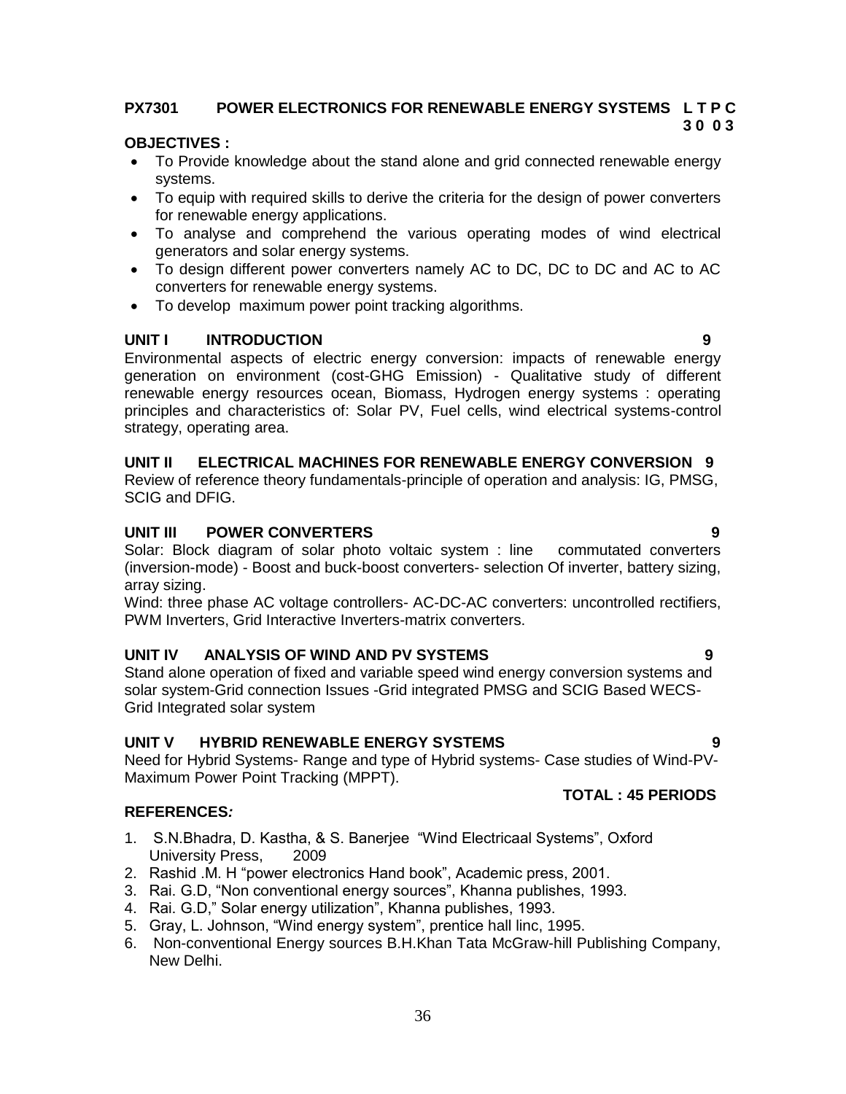#### **PX7301 POWER ELECTRONICS FOR RENEWABLE ENERGY SYSTEMS L T P C 3 0 0 3**

#### **OBJECTIVES :**

- To Provide knowledge about the stand alone and grid connected renewable energy systems.
- To equip with required skills to derive the criteria for the design of power converters for renewable energy applications.
- To analyse and comprehend the various operating modes of wind electrical generators and solar energy systems.
- To design different power converters namely AC to DC, DC to DC and AC to AC converters for renewable energy systems.
- To develop maximum power point tracking algorithms.

#### **UNIT I INTRODUCTION 9**

Environmental aspects of electric energy conversion: impacts of renewable energy generation on environment (cost-GHG Emission) - Qualitative study of different renewable energy resources ocean, Biomass, Hydrogen energy systems : operating principles and characteristics of: Solar PV, Fuel cells, wind electrical systems-control strategy, operating area.

#### **UNIT II ELECTRICAL MACHINES FOR RENEWABLE ENERGY CONVERSION 9**

Review of reference theory fundamentals-principle of operation and analysis: IG, PMSG, SCIG and DFIG.

#### **UNIT III POWER CONVERTERS 9**

Solar: Block diagram of solar photo voltaic system : line commutated converters (inversion-mode) - Boost and buck-boost converters- selection Of inverter, battery sizing, array sizing.

Wind: three phase AC voltage controllers- AC-DC-AC converters: uncontrolled rectifiers, PWM Inverters, Grid Interactive Inverters-matrix converters.

#### **UNIT IV ANALYSIS OF WIND AND PV SYSTEMS 9**

Stand alone operation of fixed and variable speed wind energy conversion systems and solar system-Grid connection Issues -Grid integrated PMSG and SCIG Based WECS-Grid Integrated solar system

#### **UNIT V HYBRID RENEWABLE ENERGY SYSTEMS 9**

Need for Hybrid Systems- Range and type of Hybrid systems- Case studies of Wind-PV-Maximum Power Point Tracking (MPPT).

#### **REFERENCES***:*

- 1. S.N.Bhadra, D. Kastha, & S. Banerjee "Wind Electricaal Systems", Oxford University Press, 2009
- 2. Rashid .M. H "power electronics Hand book", Academic press, 2001.
- 3. Rai. G.D, "Non conventional energy sources", Khanna publishes, 1993.
- 4. Rai. G.D," Solar energy utilization", Khanna publishes, 1993.
- 5. Gray, L. Johnson, "Wind energy system", prentice hall linc, 1995.
- 6. Non-conventional Energy sources B.H.Khan Tata McGraw-hill Publishing Company, New Delhi.

### **TOTAL : 45 PERIODS**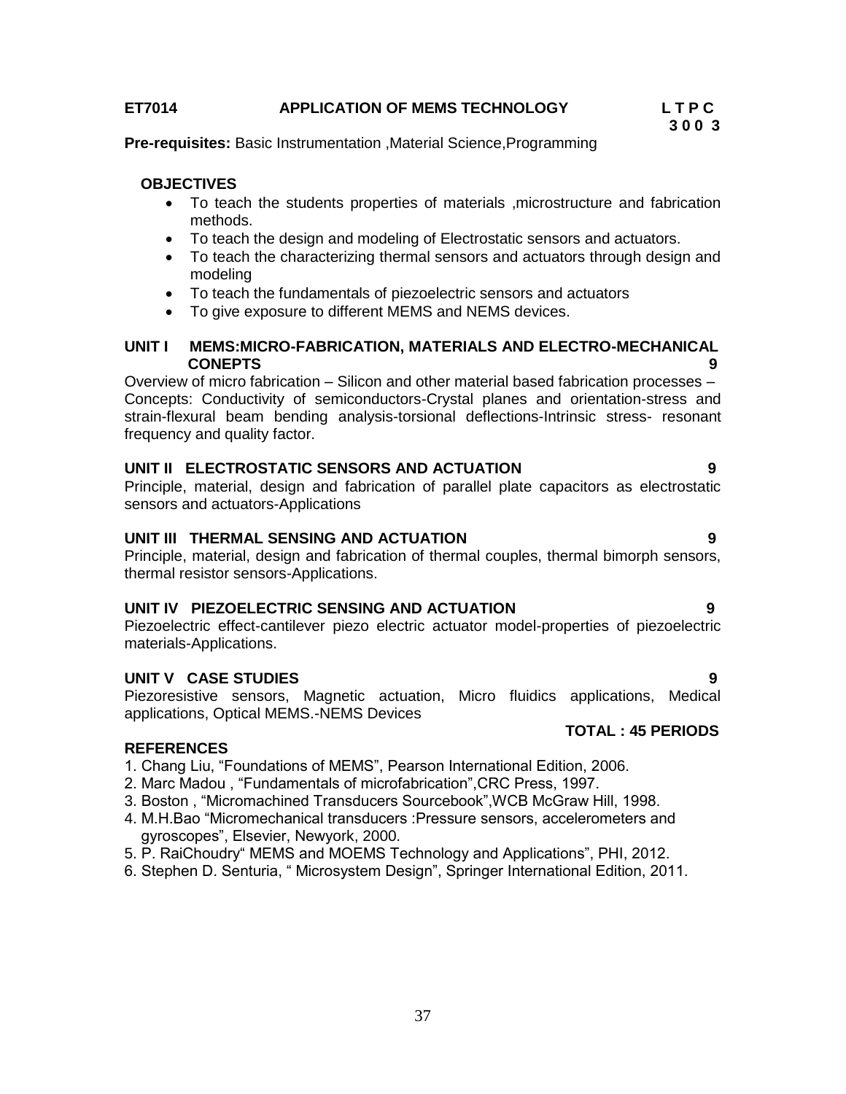#### **ET7014 APPLICATION OF MEMS TECHNOLOGY L T P C**

**Pre-requisites:** Basic Instrumentation ,Material Science,Programming

#### **OBJECTIVES**

- To teach the students properties of materials ,microstructure and fabrication methods.
- To teach the design and modeling of Electrostatic sensors and actuators.
- To teach the characterizing thermal sensors and actuators through design and modeling
- To teach the fundamentals of piezoelectric sensors and actuators
- To give exposure to different MEMS and NEMS devices.

#### **UNIT I MEMS:MICRO-FABRICATION, MATERIALS AND ELECTRO-MECHANICAL CONEPTS 9**

Overview of micro fabrication – Silicon and other material based fabrication processes – Concepts: Conductivity of semiconductors-Crystal planes and orientation-stress and strain-flexural beam bending analysis-torsional deflections-Intrinsic stress- resonant frequency and quality factor.

#### **UNIT II ELECTROSTATIC SENSORS AND ACTUATION 9**

Principle, material, design and fabrication of parallel plate capacitors as electrostatic sensors and actuators-Applications

#### **UNIT III THERMAL SENSING AND ACTUATION 9**

Principle, material, design and fabrication of thermal couples, thermal bimorph sensors, thermal resistor sensors-Applications.

#### **UNIT IV PIEZOELECTRIC SENSING AND ACTUATION 9**

Piezoelectric effect-cantilever piezo electric actuator model-properties of piezoelectric materials-Applications.

#### **UNIT V CASE STUDIES 9**

**REFERENCES**

Piezoresistive sensors, Magnetic actuation, Micro fluidics applications, Medical applications, Optical MEMS.-NEMS Devices  **TOTAL : 45 PERIODS**

- 1. Chang Liu, "Foundations of MEMS", Pearson International Edition, 2006.
- 2. Marc Madou , "Fundamentals of microfabrication",CRC Press, 1997.
- 3. Boston , "Micromachined Transducers Sourcebook",WCB McGraw Hill, 1998.
- 4. M.H.Bao "Micromechanical transducers :Pressure sensors, accelerometers and gyroscopes", Elsevier, Newyork, 2000.
- 5. P. RaiChoudry" MEMS and MOEMS Technology and Applications", PHI, 2012.
- 6. Stephen D. Senturia, " Microsystem Design", Springer International Edition, 2011.